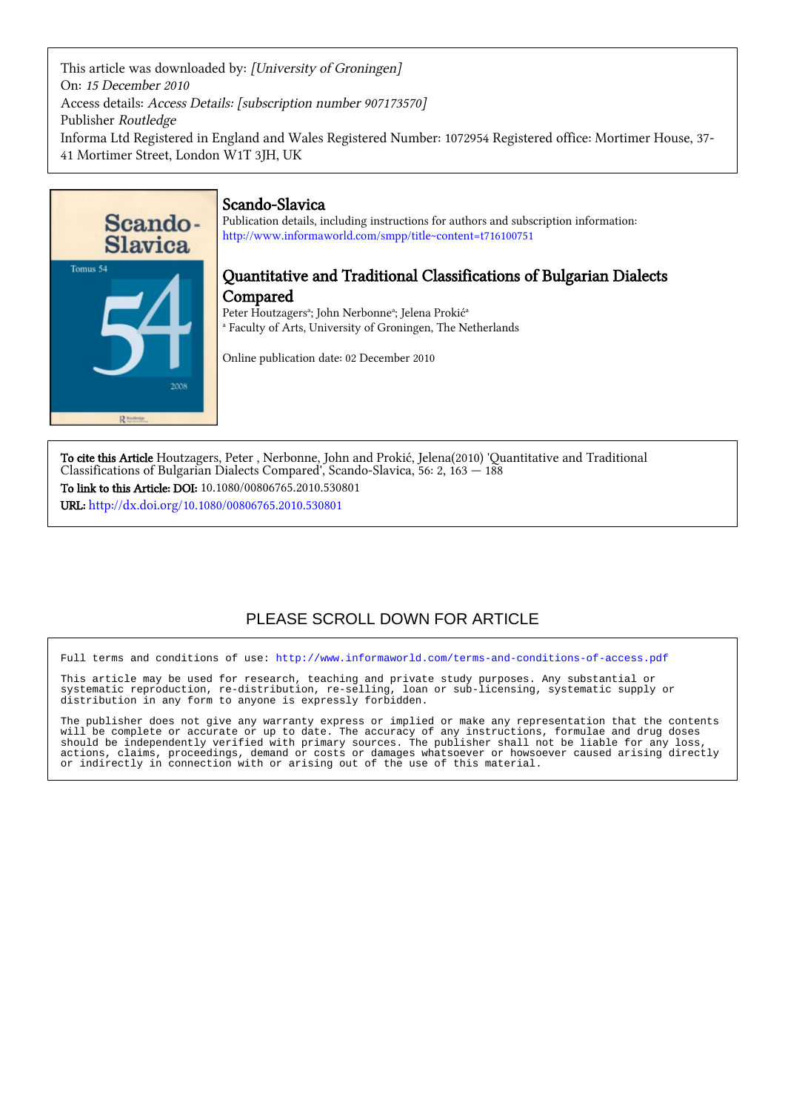This article was downloaded by: [University of Groningen] On: 15 December 2010 Access details: Access Details: [subscription number 907173570] Publisher Routledge Informa Ltd Registered in England and Wales Registered Number: 1072954 Registered office: Mortimer House, 37- 41 Mortimer Street, London W1T 3JH, UK



## Scando-Slavica

Publication details, including instructions for authors and subscription information: <http://www.informaworld.com/smpp/title~content=t716100751>

## Quantitative and Traditional Classifications of Bulgarian Dialects Compared

Peter Houtzagers<sup>a</sup>; John Nerbonne<sup>a</sup>; Jelena Prokić<sup>a</sup> a Faculty of Arts, University of Groningen, The Netherlands

Online publication date: 02 December 2010

To cite this Article Houtzagers, Peter , Nerbonne, John and Prokić, Jelena(2010) 'Quantitative and Traditional Classifications of Bulgarian Dialects Compared', Scando-Slavica, 56: 2, 163 — 188 To link to this Article: DOI: 10.1080/00806765.2010.530801 URL: <http://dx.doi.org/10.1080/00806765.2010.530801>

# PLEASE SCROLL DOWN FOR ARTICLE

Full terms and conditions of use:<http://www.informaworld.com/terms-and-conditions-of-access.pdf>

This article may be used for research, teaching and private study purposes. Any substantial or systematic reproduction, re-distribution, re-selling, loan or sub-licensing, systematic supply or distribution in any form to anyone is expressly forbidden.

The publisher does not give any warranty express or implied or make any representation that the contents will be complete or accurate or up to date. The accuracy of any instructions, formulae and drug doses should be independently verified with primary sources. The publisher shall not be liable for any loss, actions, claims, proceedings, demand or costs or damages whatsoever or howsoever caused arising directly or indirectly in connection with or arising out of the use of this material.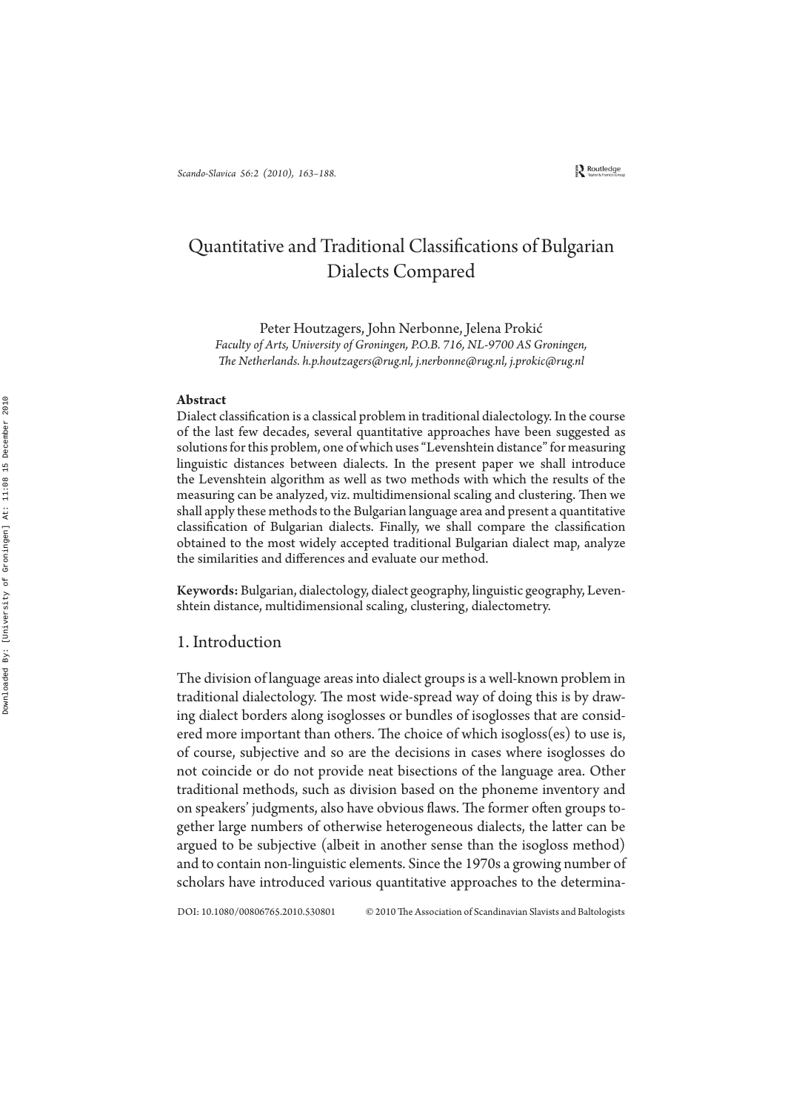# Quantitative and Traditional Classifications of Bulgarian Dialects Compared

Peter Houtzagers, John Nerbonne, Jelena Prokić *Faculty of Arts, University of Groningen, P.O.B. 716, NL-9700 AS Groningen, e Netherlands. h.p.houtzagers@rug.nl, j.nerbonne@rug.nl, j.prokic@rug.nl*

#### **Abstract**

Dialect classification is a classical problem in traditional dialectology. In the course of the last few decades, several quantitative approaches have been suggested as solutions for this problem, one of which uses "Levenshtein distance" for measuring linguistic distances between dialects. In the present paper we shall introduce the Levenshtein algorithm as well as two methods with which the results of the measuring can be analyzed, viz. multidimensional scaling and clustering. Then we shall apply these methods to the Bulgarian language area and present a quantitative classification of Bulgarian dialects. Finally, we shall compare the classification obtained to the most widely accepted traditional Bulgarian dialect map, analyze the similarities and differences and evaluate our method.

Keywords: Bulgarian, dialectology, dialect geography, linguistic geography, Levenshtein distance, multidimensional scaling, clustering, dialectometry.

#### 1. Introduction

The division of language areas into dialect groups is a well-known problem in traditional dialectology. The most wide-spread way of doing this is by drawing dialect borders along isoglosses or bundles of isoglosses that are considered more important than others. The choice of which isogloss(es) to use is, of course, subjective and so are the decisions in cases where isoglosses do not coincide or do not provide neat bisections of the language area. Other traditional methods, such as division based on the phoneme inventory and on speakers' judgments, also have obvious flaws. The former often groups together large numbers of otherwise heterogeneous dialects, the latter can be argued to be subjective (albeit in another sense than the isogloss method) and to contain non-linguistic elements. Since the 1970s a growing number of scholars have introduced various quantitative approaches to the determina-

DOI: 10.1080/00806765.2010.530801 © 2010 The Association of Scandinavian Slavists and Baltologists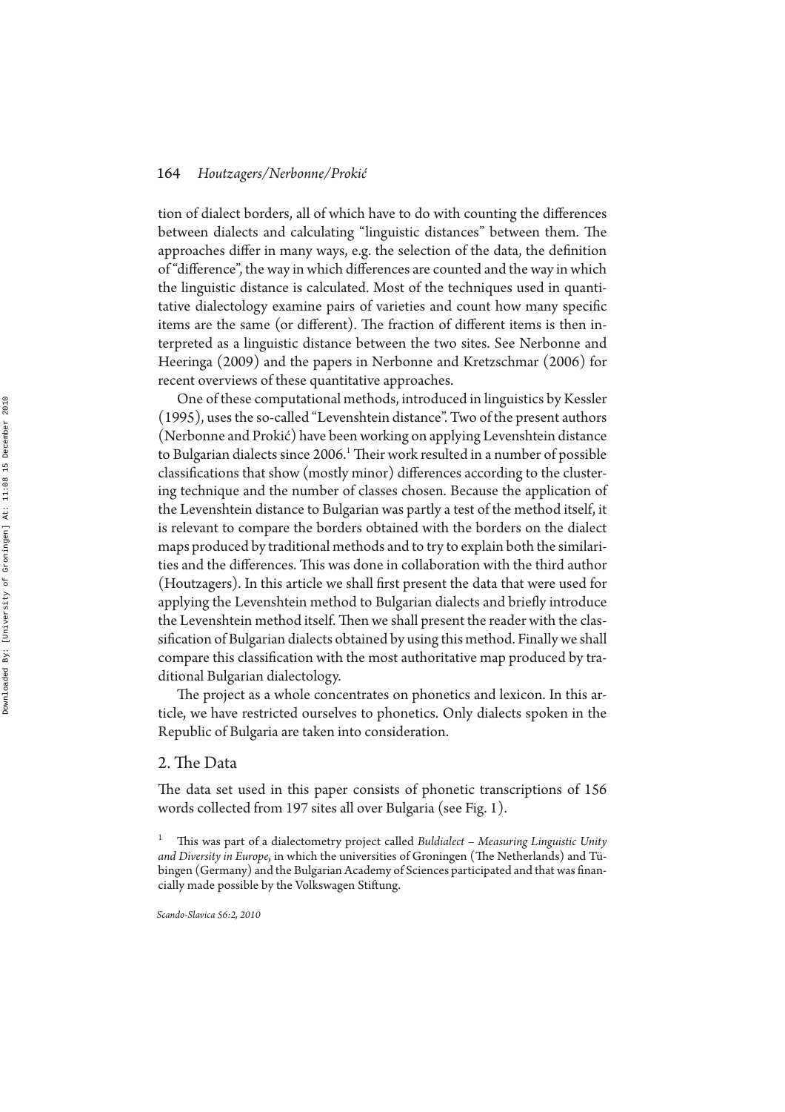tion of dialect borders, all of which have to do with counting the differences between dialects and calculating "linguistic distances" between them. The approaches differ in many ways, e.g. the selection of the data, the definition of "difference", the way in which differences are counted and the way in which the linguistic distance is calculated. Most of the techniques used in quantitative dialectology examine pairs of varieties and count how many specific items are the same (or different). The fraction of different items is then interpreted as a linguistic distance between the two sites. See Nerbonne and Heeringa (2009) and the papers in Nerbonne and Kretzschmar (2006) for recent overviews of these quantitative approaches.

One of these computational methods, introduced in linguistics by Kessler (1995), uses the so-called "Levenshtein distance". Two of the present authors (Nerbonne and Prokić) have been working on applying Levenshtein distance to Bulgarian dialects since 2006.<sup>1</sup> Their work resulted in a number of possible classifications that show (mostly minor) differences according to the clustering technique and the number of classes chosen. Because the application of the Levenshtein distance to Bulgarian was partly a test of the method itself, it is relevant to compare the borders obtained with the borders on the dialect maps produced by traditional methods and to try to explain both the similarities and the differences. This was done in collaboration with the third author (Houtzagers). In this article we shall first present the data that were used for applying the Levenshtein method to Bulgarian dialects and briefly introduce the Levenshtein method itself. Then we shall present the reader with the classification of Bulgarian dialects obtained by using this method. Finally we shall compare this classification with the most authoritative map produced by traditional Bulgarian dialectology.

The project as a whole concentrates on phonetics and lexicon. In this article, we have restricted ourselves to phonetics. Only dialects spoken in the Republic of Bulgaria are taken into consideration.

#### 2. The Data

The data set used in this paper consists of phonetic transcriptions of 156 words collected from 197 sites all over Bulgaria (see Fig. 1).

<sup>1</sup> This was part of a dialectometry project called *Buldialect - Measuring Linguistic Unity and Diversity in Europe*, in which the universities of Groningen (The Netherlands) and Tübingen (Germany) and the Bulgarian Academy of Sciences participated and that was financially made possible by the Volkswagen Stiftung.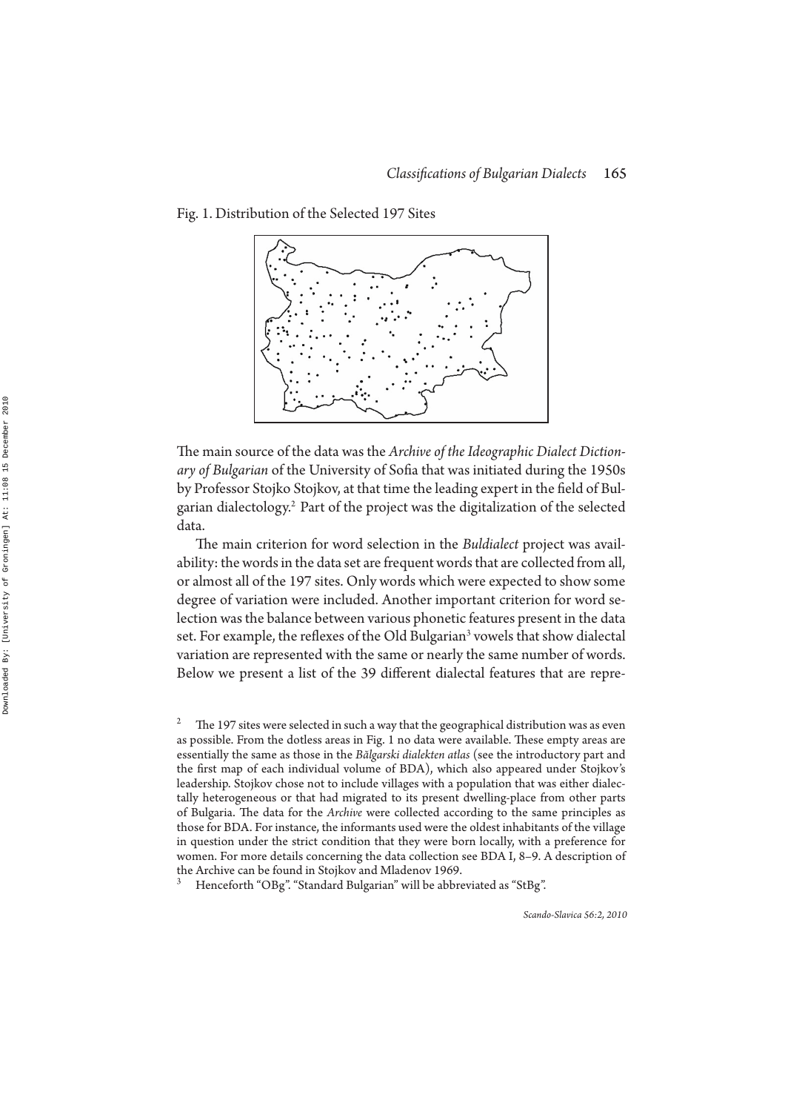

Fig. 1. Distribution of the Selected 197 Sites

The main source of the data was the *Archive of the Ideographic Dialect Diction*ary of Bulgarian of the University of Sofia that was initiated during the 1950s by Professor Stojko Stojkov, at that time the leading expert in the field of Bulgarian dialectology.<sup>2</sup> Part of the project was the digitalization of the selected data.

The main criterion for word selection in the *Buldialect* project was availability: the words in the data set are frequent words that are collected from all, or almost all of the 197 sites. Only words which were expected to show some degree of variation were included. Another important criterion for word selection was the balance between various phonetic features present in the data set. For example, the reflexes of the Old Bulgarian<sup>3</sup> vowels that show dialectal variation are represented with the same or nearly the same number of words. Below we present a list of the 39 different dialectal features that are repre-

<sup>2</sup> The 197 sites were selected in such a way that the geographical distribution was as even as possible. From the dotless areas in Fig. 1 no data were available. These empty areas are essentially the same as those in the *Bălgarski dialekten atlas* (see the introductory part and the first map of each individual volume of BDA), which also appeared under Stojkov's leadership. Stojkov chose not to include villages with a population that was either dialectally heterogeneous or that had migrated to its present dwelling-place from other parts of Bulgaria. The data for the *Archive* were collected according to the same principles as those for BDA. For instance, the informants used were the oldest inhabitants of the village in question under the strict condition that they were born locally, with a preference for women. For more details concerning the data collection see BDA I, 8–9. A description of the Archive can be found in Stojkov and Mladenov 1969.

<sup>3</sup> Henceforth "OBg". "Standard Bulgarian" will be abbreviated as "StBg".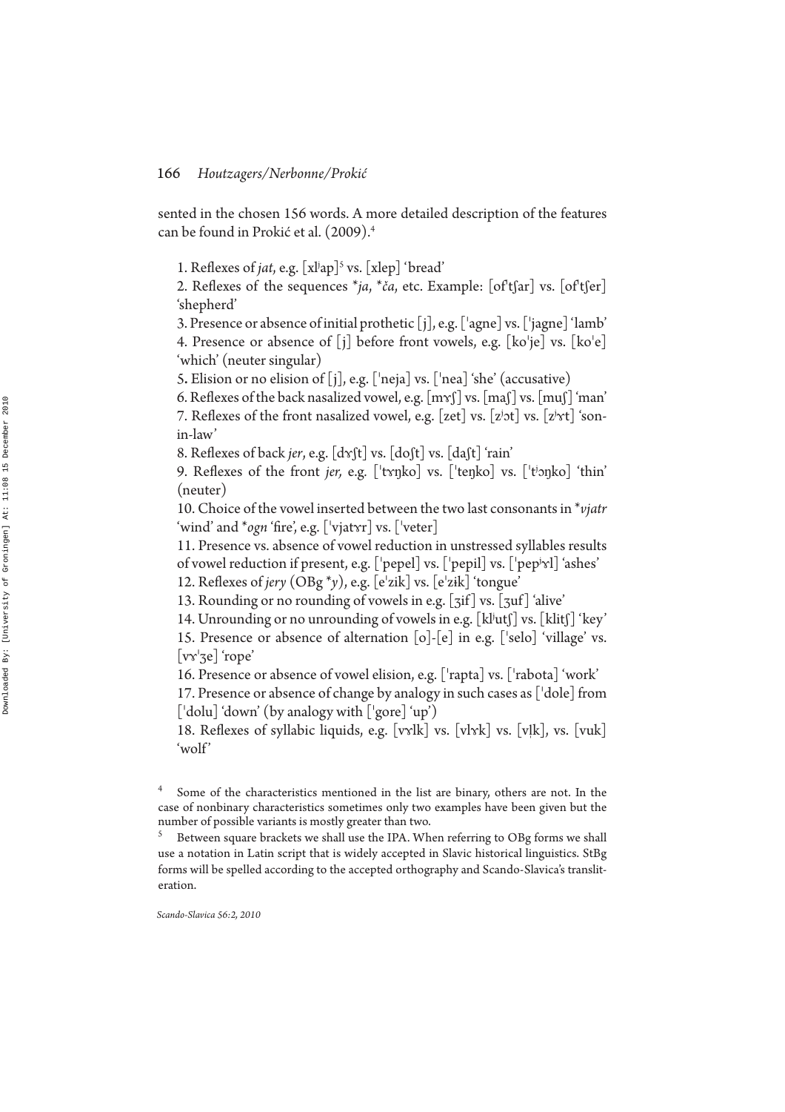sented in the chosen 156 words. A more detailed description of the features can be found in Prokić et al. (2009). 4

1. Reflexes of *jat*, e.g. [xl<sup>j</sup>ap]<sup>5</sup> vs. [xlep] 'bread'

2. Reflexes of the sequences  $*ja$ ,  $*ca$ , etc. Example:  $[oftfar]$  vs.  $[oftfer]$ 'shepherd'

3. Presence or absence of initial prothetic  $[j]$ , e.g.  $['$ agne] vs.  $['$ jagne] 'lamb' 4. Presence or absence of  $[i]$  before front vowels, e.g.  $[ko'je]$  vs.  $[ko'e]$ 'which' (neuter singular)

5. Elision or no elision of  $[j]$ , e.g. ['neja] vs. ['nea] 'she' (accusative)

6. Reflexes of the back nasalized vowel, e.g.  $[m_{\mathcal{S}}]$  vs.  $[m_{\mathcal{S}}]$  vs.  $[m_{\mathcal{S}}]$  'man'

7. Reflexes of the front nasalized vowel, e.g. [zet] vs. [zʲɔt] vs. [zʲɤt] 'sonin-law'

8. Reflexes of back *jer,* e.g. [dɤʃt] vs. [doʃt] vs. [daʃt] 'rain'

9. Reflexes of the front *jer,* e.g. ['tɤŋko] vs. ['teŋko] vs. ['tʲɔŋko] 'thin' (neuter)

10. Choice of the vowel inserted between the two last consonants in \**vjatr* 'wind' and \**ogn* 'fire', e.g. ['vjat૪r] vs. ['veter]

11. Presence vs. absence of vowel reduction in unstressed syllables results of vowel reduction if present, e.g. [ˈpepel] vs. [ˈpepil] vs. [ˈpepʲɤl] 'ashes'

12. Reflexes of *jery*  $(OBg^*y)$ , e.g.  $[e^{\prime}zik]$  vs.  $[e^{\prime}zik]$  'tongue'

13. Rounding or no rounding of vowels in e.g. [3if] vs. [3uf] 'alive'

14. Unrounding or no unrounding of vowels in e.g. [kl<sup>j</sup>utʃ] vs. [klitʃ] 'key'

15. Presence or absence of alternation  $[o]$ - $[e]$  in e.g.  $['selo]'$  village' vs.  $[*v* \gamma'$ ze] 'rope'

16. Presence or absence of vowel elision, e.g. ['rapta] vs. ['rabota] 'work'

17. Presence or absence of change by analogy in such cases as  $[{}^{l}$ dole] from  $[{}^{l}$ dolu] 'down' (by analogy with  $[{}^{l}$ gore] 'up')

18. Reflexes of syllabic liquids, e.g.  $[vx]k$  vs.  $[v1x]$ , vs.  $[v1k]$ , vs.  $[v1k]$ 'wolf'

5 Between square brackets we shall use the IPA. When referring to OBg forms we shall use a notation in Latin script that is widely accepted in Slavic historical linguistics. StBg forms will be spelled according to the accepted orthography and Scando-Slavica's transliteration.

<sup>4</sup> Some of the characteristics mentioned in the list are binary, others are not. In the case of nonbinary characteristics sometimes only two examples have been given but the number of possible variants is mostly greater than two.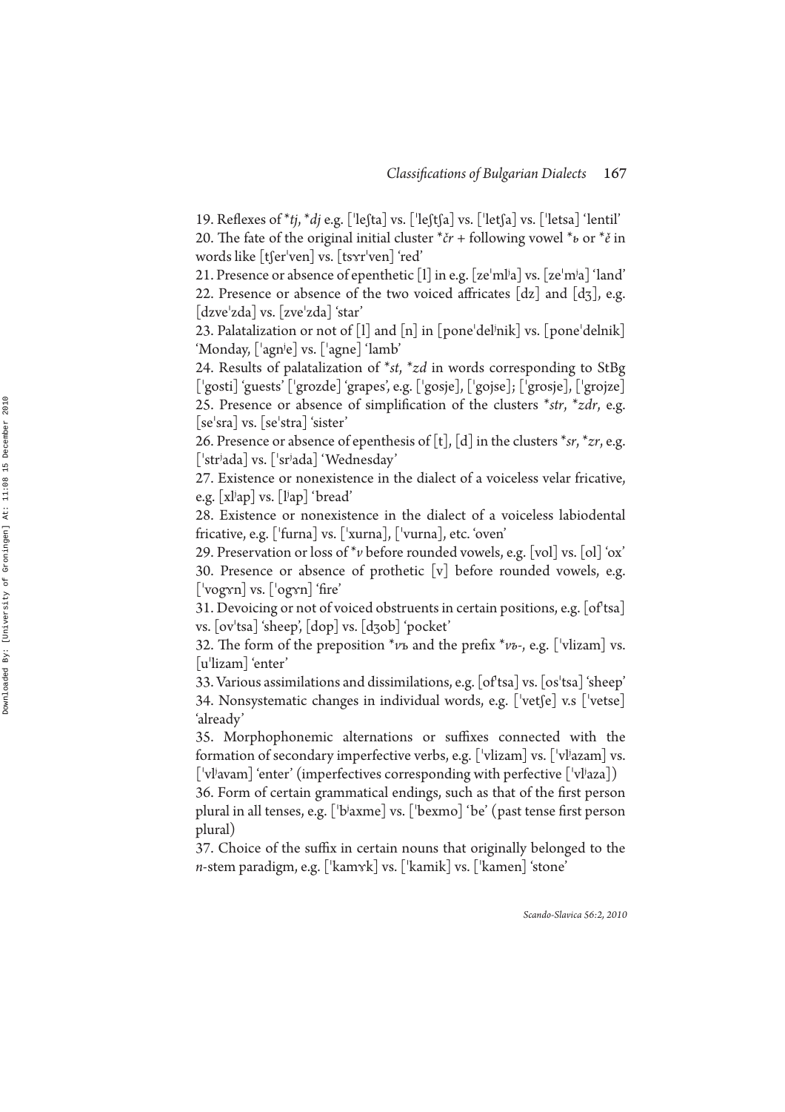19. Reflexes of  $*tj, *dj$  e.g.  $\lceil$ <sup>'</sup>le $\lceil$ ta $\rceil$  vs.  $\lceil$ 'let $\lceil$ a $\rceil$  vs.  $\lceil$ 'letsa $\rceil$ 'lentil' 20. The fate of the original initial cluster \**čr* + following vowel \**ь* or \**ě* in words like [tʃerˈven] vs. [tsʏrˈven] 'red'

21. Presence or absence of epenthetic [1] in e.g. [zeˈmlʲa] vs. [zeˈmʲa] 'land' 22. Presence or absence of the two voiced affricates  $[dz]$  and  $[d\bar{z}]$ , e.g.  $\lceil$ dzve $'z$ da $\rceil$  vs.  $\lceil$ zve $'z$ da $\rceil$  'star'

23. Palatalization or not of  $\left[1\right]$  and  $\left[n\right]$  in  $\left[$  pone'del $^{\dagger}$ nik $\right]$  vs.  $\left[$  pone'delnik $\right]$ 'Monday, [ˈagnʲe] vs. [ˈagne] 'lamb'

24. Results of palatalization of *\*st*, *\*zd* in words corresponding to StBg ['gosti] 'guests' ['grozde] 'grapes', e.g. ['gosje], ['grojze], ['grojze] 25. Presence or absence of simplication of the clusters \**str*, \**zdr*, e.g.  $\lceil$ se $\vert$ sra $\vert$  vs.  $\lceil$ se $\vert$ stra $\vert$  'sister'

26. Presence or absence of epenthesis of  $[t]$ ,  $[d]$  in the clusters \*sr, \*zr, e.g. ada] vs. [ˈsrʲada] 'Wednesday'

27. Existence or nonexistence in the dialect of a voiceless velar fricative, e.g. [xlʲap] vs. [lʲap] 'bread'

28. Existence or nonexistence in the dialect of a voiceless labiodental fricative, e.g. ['furna] vs. ['xurna], ['vurna], etc. 'oven'

29. Preservation or loss of \* *v* before rounded vowels, e.g. [vol] vs. [ol] 'ox' 30. Presence or absence of prothetic  $[v]$  before rounded vowels, e.g.  $[\text{vogyn}]$  vs.  $[\text{vogyn}]$  'fire'

31. Devoicing or not of voiced obstruents in certain positions, e.g. [of tsa] vs. [ovˈtsa] 'sheep', [dop] vs. [dʒob] 'pocket'

32. The form of the preposition \* $v$ ъ and the prefix \* $v$ ъ-, e.g. [ˈvlizam] vs.  $\lceil$ u'lizam $\rceil$ 'enter'

33. Various assimilations and dissimilations, e.g. [of tsa] vs. [os tsa] 'sheep' 34. Nonsystematic changes in individual words, e.g.  $\lceil \text{vet} \rceil e \rceil$  v.s  $\lceil \text{vet} \rceil$ 'already'

35. Morphophonemic alternations or suffixes connected with the formation of secondary imperfective verbs, e.g.  $[$  'vlizam] vs.  $[$  'vlʲazam] vs.  $\left[ \ ^{\shortmid }\mathrm{v}l\mathrm{i}$  avam] 'enter' (imperfectives corresponding with perfective  $\left[ \ ^{\shortmid }\mathrm{v}l\mathrm{i}$  aza])

36. Form of certain grammatical endings, such as that of the first person plural in all tenses, e.g. [ˈbʲaxme] vs. [ˈbexmo] 'be' (past tense first person plural)

37. Choice of the suffix in certain nouns that originally belonged to the n-stem paradigm, e.g. [ˈkamʏk] vs. [ˈkamik] vs. [ˈkamen] 'stone'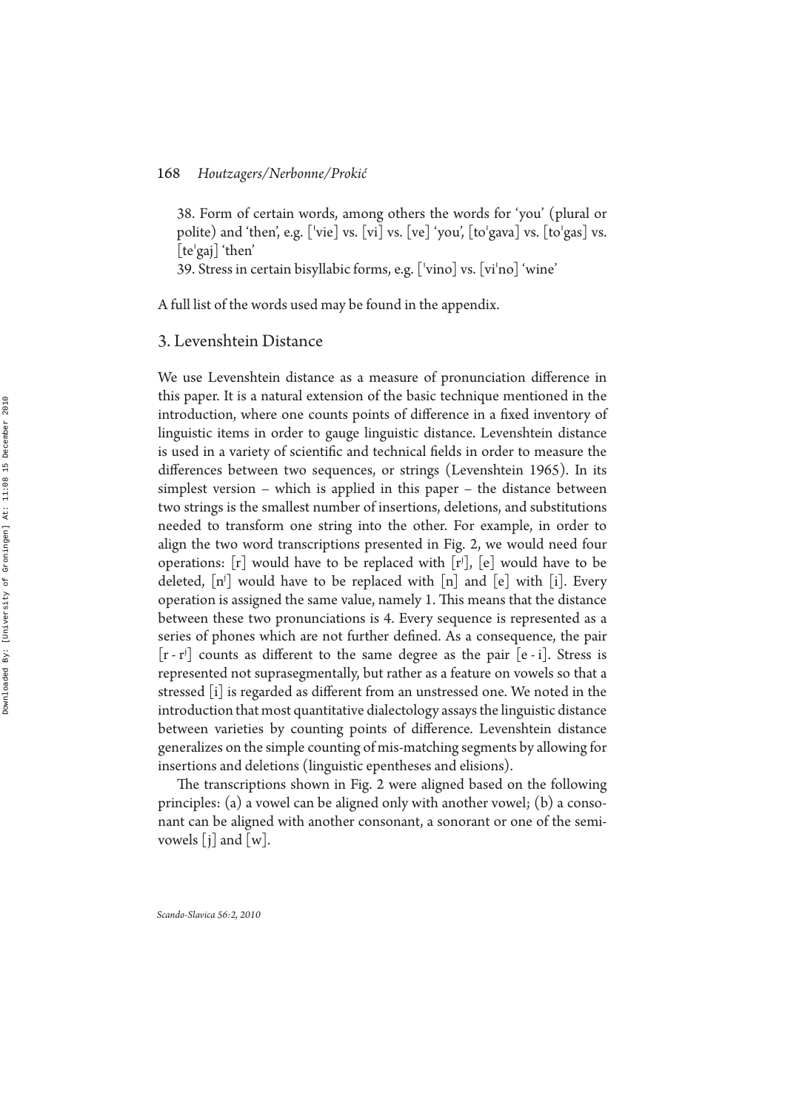38. Form of certain words, among others the words for 'you' (plural or polite) and 'then', e.g. ['vie] vs. [vi] vs. [ve] 'you',  $[to'gava]$  vs.  $[to'gas]$  vs.  $[te'gaj]'$ 'then'

39. Stress in certain bisyllabic forms, e.g.  $\lceil \cdot \text{vino} \rceil$  vs.  $\lceil \text{vi}' \rceil$   $\lceil \text{vino} \rceil$  'wine'

A full list of the words used may be found in the appendix.

## 3. Levenshtein Distance

We use Levenshtein distance as a measure of pronunciation difference in this paper. It is a natural extension of the basic technique mentioned in the introduction, where one counts points of difference in a fixed inventory of linguistic items in order to gauge linguistic distance. Levenshtein distance is used in a variety of scientific and technical fields in order to measure the differences between two sequences, or strings (Levenshtein 1965). In its simplest version – which is applied in this paper – the distance between two strings is the smallest number of insertions, deletions, and substitutions needed to transform one string into the other. For example, in order to align the two word transcriptions presented in Fig. 2, we would need four operations:  $[r]$  would have to be replaced with  $[r^j]$ ,  $[e]$  would have to be deleted,  $[n^j]$  would have to be replaced with  $[n]$  and  $[e]$  with  $[i]$ . Every operation is assigned the same value, namely 1. This means that the distance between these two pronunciations is 4. Every sequence is represented as a series of phones which are not further defined. As a consequence, the pair  $[r - r<sup>j</sup>]$  counts as different to the same degree as the pair  $[e - i]$ . Stress is represented not suprasegmentally, but rather as a feature on vowels so that a stressed [i] is regarded as different from an unstressed one. We noted in the introduction that most quantitative dialectology assays the linguistic distance between varieties by counting points of difference. Levenshtein distance generalizes on the simple counting of mis-matching segments by allowing for insertions and deletions (linguistic epentheses and elisions).

The transcriptions shown in Fig. 2 were aligned based on the following principles: (a) a vowel can be aligned only with another vowel; (b) a consonant can be aligned with another consonant, a sonorant or one of the semivowels  $[j]$  and  $[w]$ .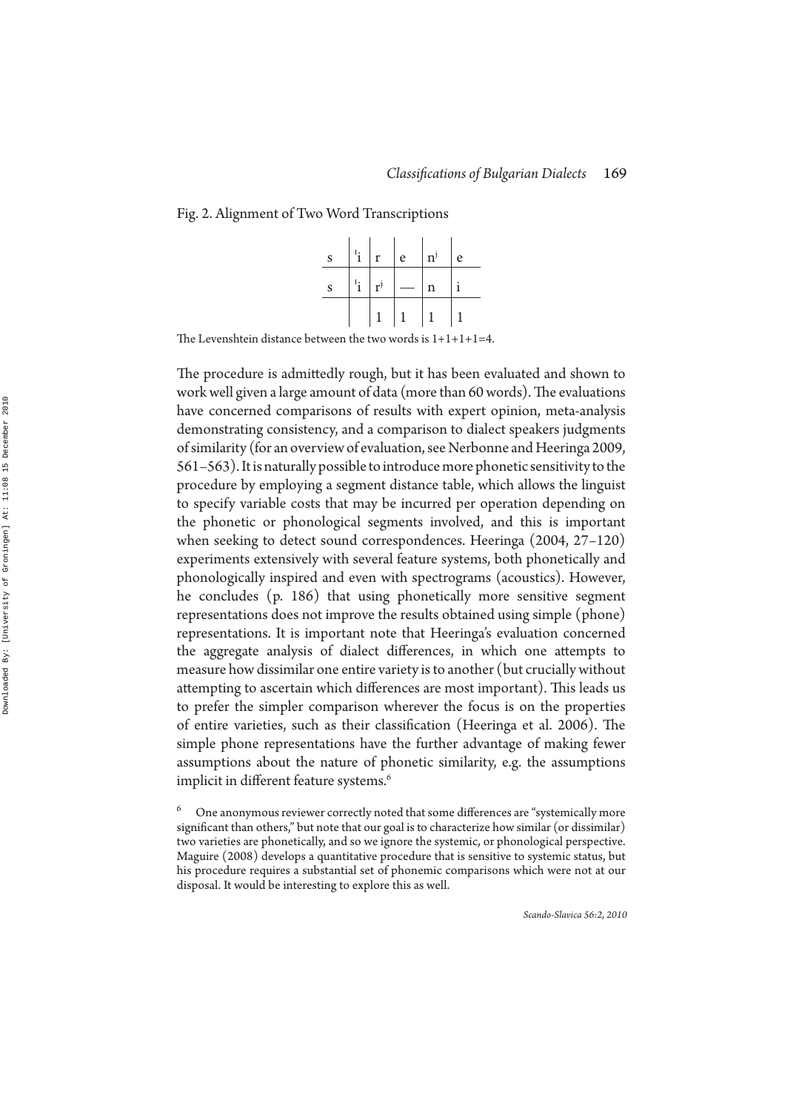#### Fig. 2. Alignment of Two Word Transcriptions

| ${\bf S}$ | $\mathbf{i}$ | r                         | e | $\mathbf{n}^{\mathrm{j}}$ | e |
|-----------|--------------|---------------------------|---|---------------------------|---|
| ${\bf S}$ | $\mathbf{i}$ | $\mathbf{r}^{\mathrm{j}}$ |   | $\mathbf n$               |   |
|           |              |                           |   |                           |   |

The Levenshtein distance between the two words is  $1+1+1+1=4$ .

The procedure is admittedly rough, but it has been evaluated and shown to work well given a large amount of data (more than 60 words). The evaluations have concerned comparisons of results with expert opinion, meta-analysis demonstrating consistency, and a comparison to dialect speakers judgments of similarity (for an overview of evaluation, see Nerbonne and Heeringa 2009, 561–563). It is naturally possible to introduce more phonetic sensitivity to the procedure by employing a segment distance table, which allows the linguist to specify variable costs that may be incurred per operation depending on the phonetic or phonological segments involved, and this is important when seeking to detect sound correspondences. Heeringa (2004, 27–120) experiments extensively with several feature systems, both phonetically and phonologically inspired and even with spectrograms (acoustics). However, he concludes (p. 186) that using phonetically more sensitive segment representations does not improve the results obtained using simple (phone) representations. It is important note that Heeringa's evaluation concerned the aggregate analysis of dialect differences, in which one attempts to measure how dissimilar one entire variety is to another (but crucially without attempting to ascertain which differences are most important). This leads us to prefer the simpler comparison wherever the focus is on the properties of entire varieties, such as their classification (Heeringa et al. 2006). The simple phone representations have the further advantage of making fewer assumptions about the nature of phonetic similarity, e.g. the assumptions implicit in different feature systems.<sup>6</sup>

<sup>6</sup> One anonymous reviewer correctly noted that some differences are "systemically more significant than others," but note that our goal is to characterize how similar (or dissimilar) two varieties are phonetically, and so we ignore the systemic, or phonological perspective. Maguire (2008) develops a quantitative procedure that is sensitive to systemic status, but his procedure requires a substantial set of phonemic comparisons which were not at our disposal. It would be interesting to explore this as well.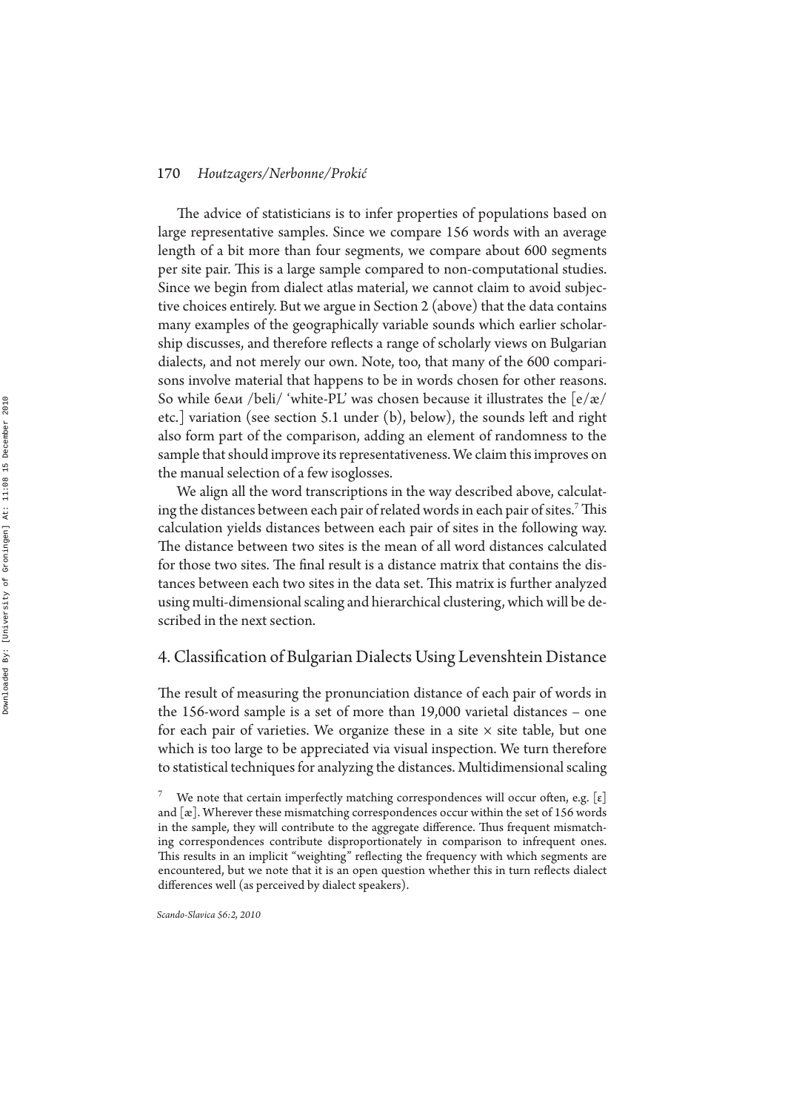The advice of statisticians is to infer properties of populations based on large representative samples. Since we compare 156 words with an average length of a bit more than four segments, we compare about 600 segments per site pair. This is a large sample compared to non-computational studies. Since we begin from dialect atlas material, we cannot claim to avoid subjective choices entirely. But we argue in Section 2 (above) that the data contains many examples of the geographically variable sounds which earlier scholarship discusses, and therefore reflects a range of scholarly views on Bulgarian dialects, and not merely our own. Note, too, that many of the 600 comparisons involve material that happens to be in words chosen for other reasons. So while бели /beli/ 'white-PL' was chosen because it illustrates the  $\left[\frac{e}{x}\right]$ etc.] variation (see section 5.1 under  $(b)$ , below), the sounds left and right also form part of the comparison, adding an element of randomness to the sample that should improve its representativeness. We claim this improves on the manual selection of a few isoglosses.

We align all the word transcriptions in the way described above, calculating the distances between each pair of related words in each pair of sites.<sup>7</sup> This calculation yields distances between each pair of sites in the following way. The distance between two sites is the mean of all word distances calculated for those two sites. The final result is a distance matrix that contains the distances between each two sites in the data set. This matrix is further analyzed using multi-dimensional scaling and hierarchical clustering, which will be described in the next section.

## 4. Classification of Bulgarian Dialects Using Levenshtein Distance

The result of measuring the pronunciation distance of each pair of words in the 156-word sample is a set of more than 19,000 varietal distances – one for each pair of varieties. We organize these in a site  $\times$  site table, but one which is too large to be appreciated via visual inspection. We turn therefore to statistical techniques for analyzing the distances. Multidimensional scaling

<sup>7</sup> We note that certain imperfectly matching correspondences will occur often, e.g.  $[\epsilon]$ and [æ]. Wherever these mismatching correspondences occur within the set of 156 words in the sample, they will contribute to the aggregate difference. Thus frequent mismatching correspondences contribute disproportionately in comparison to infrequent ones. This results in an implicit "weighting" reflecting the frequency with which segments are encountered, but we note that it is an open question whether this in turn reflects dialect differences well (as perceived by dialect speakers).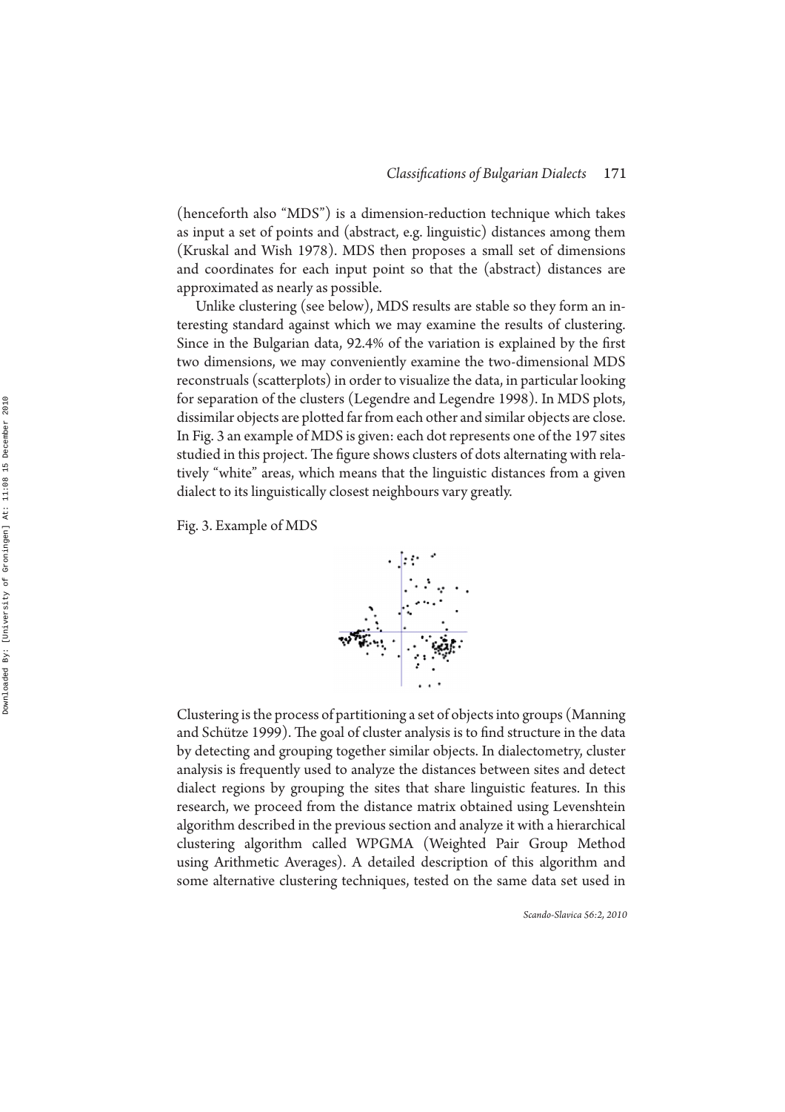(henceforth also "MDS") is a dimension-reduction technique which takes as input a set of points and (abstract, e.g. linguistic) distances among them (Kruskal and Wish 1978). MDS then proposes a small set of dimensions and coordinates for each input point so that the (abstract) distances are approximated as nearly as possible.

Unlike clustering (see below), MDS results are stable so they form an interesting standard against which we may examine the results of clustering. Since in the Bulgarian data, 92.4% of the variation is explained by the first two dimensions, we may conveniently examine the two-dimensional MDS reconstruals (scatterplots) in order to visualize the data, in particular looking for separation of the clusters (Legendre and Legendre 1998). In MDS plots, dissimilar objects are plotted far from each other and similar objects are close. In Fig. 3 an example of MDS is given: each dot represents one of the 197 sites studied in this project. The figure shows clusters of dots alternating with relatively "white" areas, which means that the linguistic distances from a given dialect to its linguistically closest neighbours vary greatly.

Fig. 3. Example of MDS



Clustering is the process of partitioning a set of objects into groups (Manning and Schütze 1999). The goal of cluster analysis is to find structure in the data by detecting and grouping together similar objects. In dialectometry, cluster analysis is frequently used to analyze the distances between sites and detect dialect regions by grouping the sites that share linguistic features. In this research, we proceed from the distance matrix obtained using Levenshtein algorithm described in the previous section and analyze it with a hierarchical clustering algorithm called WPGMA (Weighted Pair Group Method using Arithmetic Averages). A detailed description of this algorithm and some alternative clustering techniques, tested on the same data set used in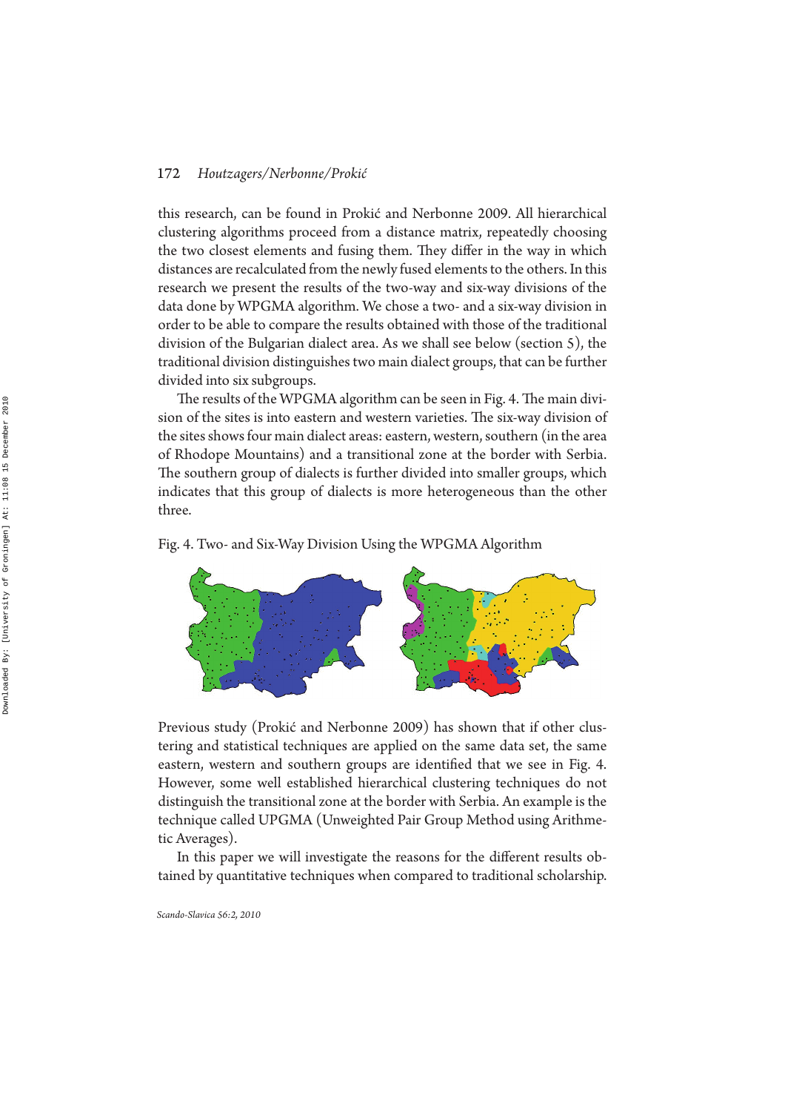this research, can be found in Prokić and Nerbonne 2009. All hierarchical clustering algorithms proceed from a distance matrix, repeatedly choosing the two closest elements and fusing them. They differ in the way in which distances are recalculated from the newly fused elements to the others. In this research we present the results of the two-way and six-way divisions of the data done by WPGMA algorithm. We chose a two- and a six-way division in order to be able to compare the results obtained with those of the traditional division of the Bulgarian dialect area. As we shall see below (section 5), the traditional division distinguishes two main dialect groups, that can be further divided into six subgroups.

The results of the WPGMA algorithm can be seen in Fig. 4. The main division of the sites is into eastern and western varieties. The six-way division of the sites shows four main dialect areas: eastern, western, southern (in the area of Rhodope Mountains) and a transitional zone at the border with Serbia. The southern group of dialects is further divided into smaller groups, which indicates that this group of dialects is more heterogeneous than the other three.

#### Fig. 4. Two- and Six-Way Division Using the WPGMA Algorithm



Previous study (Prokić and Nerbonne 2009) has shown that if other clustering and statistical techniques are applied on the same data set, the same eastern, western and southern groups are identified that we see in Fig. 4. However, some well established hierarchical clustering techniques do not distinguish the transitional zone at the border with Serbia. An example is the technique called UPGMA (Unweighted Pair Group Method using Arithmetic Averages).

In this paper we will investigate the reasons for the different results obtained by quantitative techniques when compared to traditional scholarship.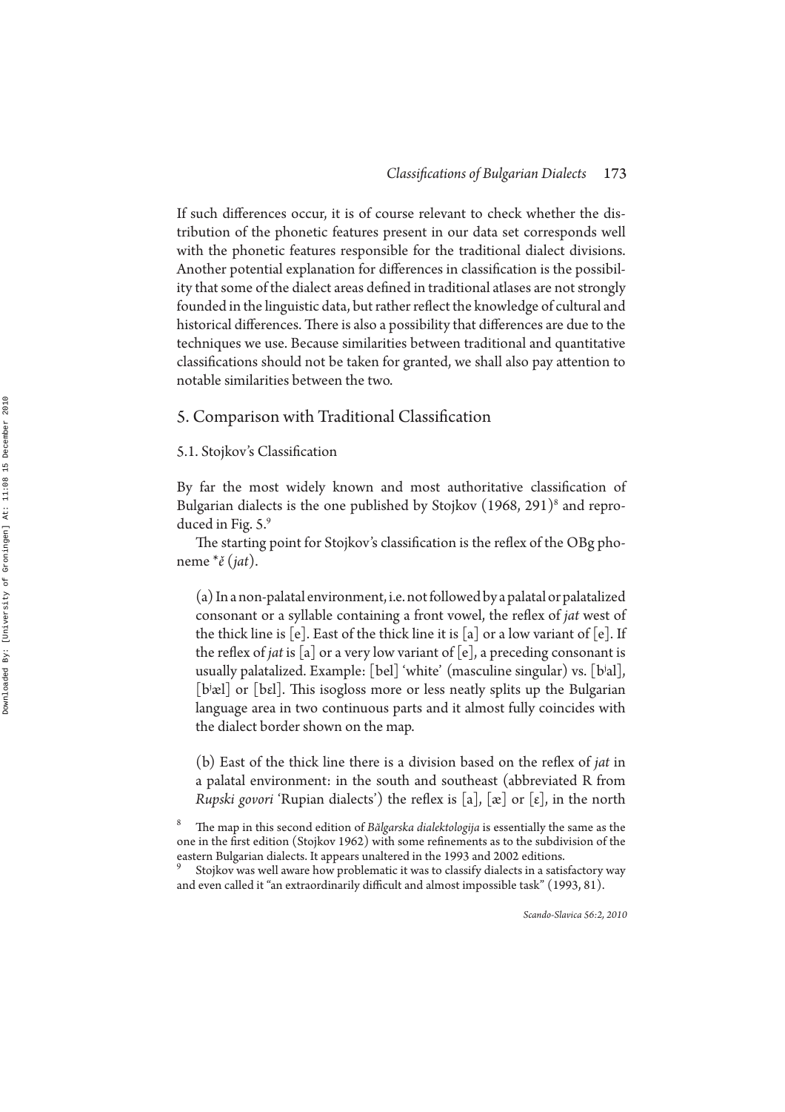If such differences occur, it is of course relevant to check whether the distribution of the phonetic features present in our data set corresponds well with the phonetic features responsible for the traditional dialect divisions. Another potential explanation for differences in classification is the possibility that some of the dialect areas defined in traditional atlases are not strongly founded in the linguistic data, but rather reflect the knowledge of cultural and historical differences. There is also a possibility that differences are due to the techniques we use. Because similarities between traditional and quantitative classifications should not be taken for granted, we shall also pay attention to notable similarities between the two.

## 5. Comparison with Traditional Classification

#### 5.1. Stojkov's Classification

By far the most widely known and most authoritative classification of Bulgarian dialects is the one published by Stojkov (1968, 291) 8 and reproduced in Fig. 5.9

The starting point for Stojkov's classification is the reflex of the OBg phoneme \**ě* (*jat*).

(a) In a non-palatal environment, i.e. not followed by a palatal or palatalized consonant or a syllable containing a front vowel, the reflex of *jat* west of the thick line is  $[e]$ . East of the thick line it is  $[a]$  or a low variant of  $[e]$ . If the reflex of *jat* is [a] or a very low variant of [e], a preceding consonant is usually palatalized. Example: [bel] 'white' (masculine singular) vs. [bʲal], [b<sup>j</sup>æl] or [bɛl]. This isogloss more or less neatly splits up the Bulgarian language area in two continuous parts and it almost fully coincides with the dialect border shown on the map.

(b) East of the thick line there is a division based on the reflex of *jat* in a palatal environment: in the south and southeast (abbreviated R from *Rupski govori* 'Rupian dialects') the reflex is [a], [æ] or [ $\varepsilon$ ], in the north

<sup>8</sup> e map in this second edition of *Bălgarska dialektologija* is essentially the same as the one in the first edition (Stojkov 1962) with some refinements as to the subdivision of the eastern Bulgarian dialects. It appears unaltered in the 1993 and 2002 editions. <sup>9</sup>

Stojkov was well aware how problematic it was to classify dialects in a satisfactory way and even called it "an extraordinarily difficult and almost impossible task" (1993, 81).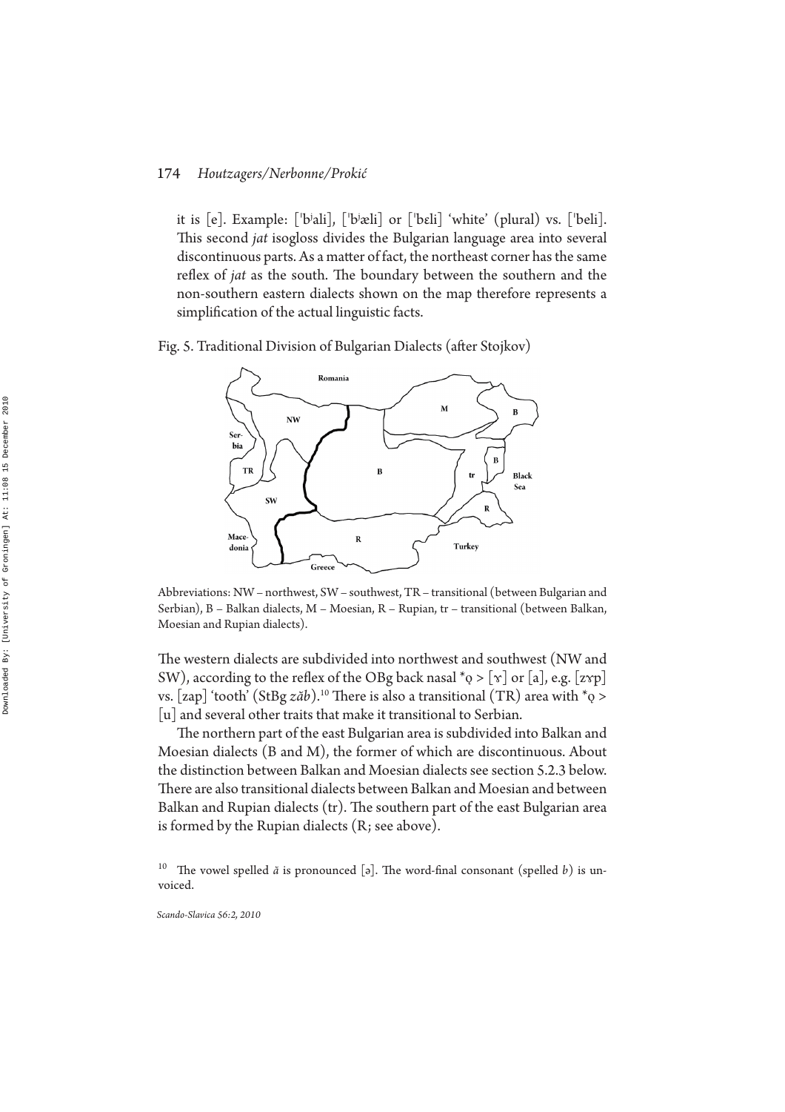it is [e]. Example: ['bʲali], ['bʲæli] or ['bɛli] 'white' (plural) vs. ['beli]. This second *jat* isogloss divides the Bulgarian language area into several discontinuous parts. As a matter of fact, the northeast corner has the same reflex of *jat* as the south. The boundary between the southern and the non-southern eastern dialects shown on the map therefore represents a simplification of the actual linguistic facts.

Fig. 5. Traditional Division of Bulgarian Dialects (after Stojkov)



Abbreviations: NW – northwest, SW – southwest, TR – transitional (between Bulgarian and Serbian), B – Balkan dialects, M – Moesian, R – Rupian, tr – transitional (between Balkan, Moesian and Rupian dialects).

The western dialects are subdivided into northwest and southwest (NW and SW), according to the reflex of the OBg back nasal \*ǫ > [ɤ] or [a], e.g. [zʏp] vs. [zap] 'tooth' (StBg  $z\check{a}b$ ).<sup>10</sup> There is also a transitional (TR) area with \* ${\mathfrak{g}} >$ [u] and several other traits that make it transitional to Serbian.

The northern part of the east Bulgarian area is subdivided into Balkan and Moesian dialects (B and M), the former of which are discontinuous. About the distinction between Balkan and Moesian dialects see section 5.2.3 below. There are also transitional dialects between Balkan and Moesian and between Balkan and Rupian dialects (tr). The southern part of the east Bulgarian area is formed by the Rupian dialects (R; see above).

<sup>10</sup> The vowel spelled  $\check{a}$  is pronounced [ə]. The word-final consonant (spelled  $b$ ) is unvoiced.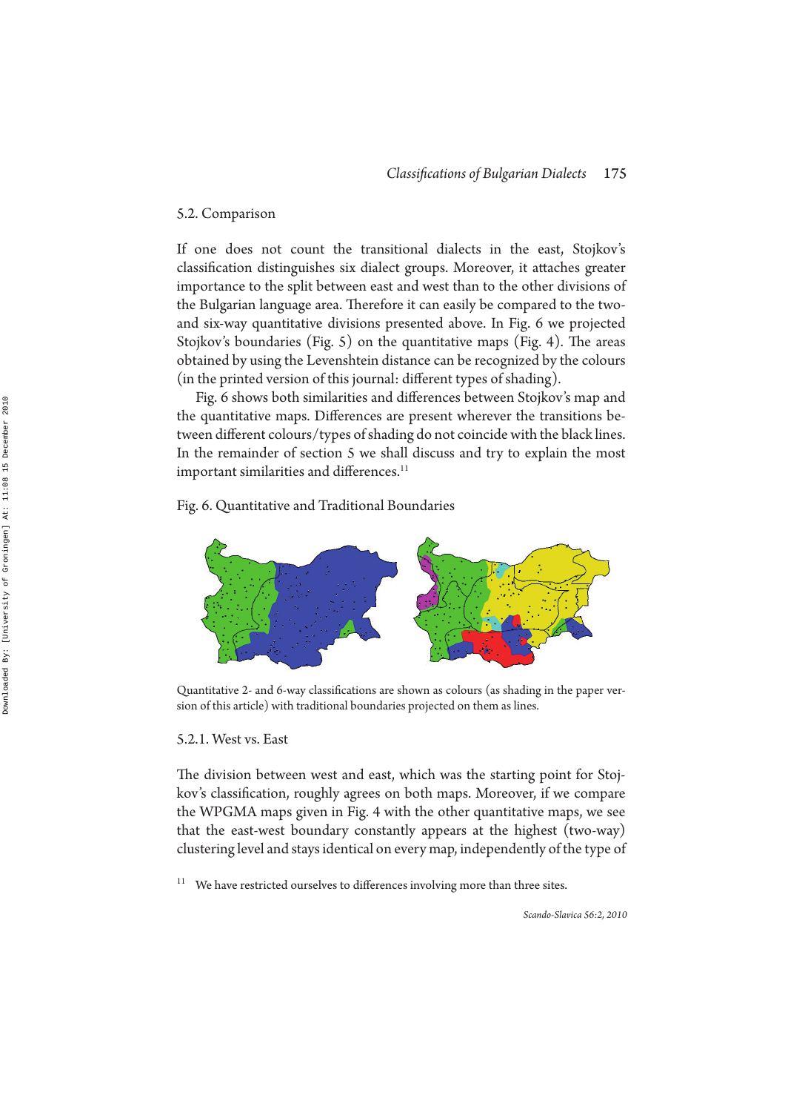#### 5.2. Comparison

If one does not count the transitional dialects in the east, Stojkov's classification distinguishes six dialect groups. Moreover, it attaches greater importance to the split between east and west than to the other divisions of the Bulgarian language area. Therefore it can easily be compared to the twoand six-way quantitative divisions presented above. In Fig. 6 we projected Stojkov's boundaries (Fig. 5) on the quantitative maps (Fig. 4). The areas obtained by using the Levenshtein distance can be recognized by the colours (in the printed version of this journal: different types of shading).

Fig. 6 shows both similarities and differences between Stojkov's map and the quantitative maps. Differences are present wherever the transitions between different colours/types of shading do not coincide with the black lines. In the remainder of section 5 we shall discuss and try to explain the most important similarities and differences.<sup>11</sup>

Fig. 6. Quantitative and Traditional Boundaries



Quantitative 2- and 6-way classifications are shown as colours (as shading in the paper version of this article) with traditional boundaries projected on them as lines.

#### 5.2.1. West vs. East

The division between west and east, which was the starting point for Stojkov's classification, roughly agrees on both maps. Moreover, if we compare the WPGMA maps given in Fig. 4 with the other quantitative maps, we see that the east-west boundary constantly appears at the highest (two-way) clustering level and stays identical on every map, independently of the type of

 $11$  We have restricted ourselves to differences involving more than three sites.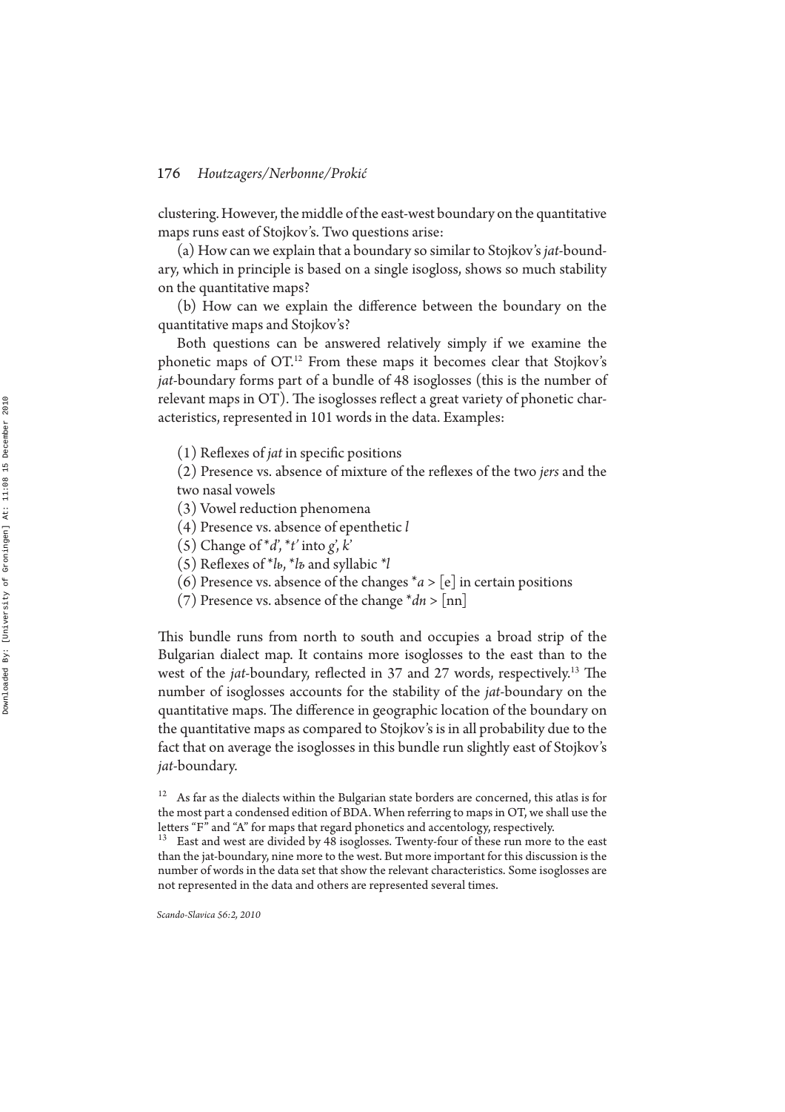clustering. However, the middle of the east-west boundary on the quantitative maps runs east of Stojkov's. Two questions arise:

(a) How can we explain that a boundary so similar to Stojkov's *jat*-boundary, which in principle is based on a single isogloss, shows so much stability on the quantitative maps?

(b) How can we explain the difference between the boundary on the quantitative maps and Stojkov's?

Both questions can be answered relatively simply if we examine the phonetic maps of OT.<sup>12</sup> From these maps it becomes clear that Stojkov's *jat*-boundary forms part of a bundle of 48 isoglosses (this is the number of relevant maps in OT). The isoglosses reflect a great variety of phonetic characteristics, represented in 101 words in the data. Examples:

(1) Reflexes of *jat* in specific positions

(2) Presence vs. absence of mixture of the reflexes of the two *jers* and the two nasal vowels

- (3) Vowel reduction phenomena
- (4) Presence vs. absence of epenthetic *l*
- (5) Change of  $d$ ,  $d'$  into *g*, *k*<sup>'</sup>
- (5) Reexes of \**lь*, \**lъ* and syllabic *\*l*
- (6) Presence vs. absence of the changes  $a > [e]$  in certain positions
- (7) Presence vs. absence of the change \**dn* > [nn]

This bundle runs from north to south and occupies a broad strip of the Bulgarian dialect map. It contains more isoglosses to the east than to the west of the *jat*-boundary, reflected in 37 and 27 words, respectively.<sup>13</sup> The number of isoglosses accounts for the stability of the *jat*-boundary on the quantitative maps. The difference in geographic location of the boundary on the quantitative maps as compared to Stojkov's is in all probability due to the fact that on average the isoglosses in this bundle run slightly east of Stojkov's *jat*-boundary.

 $12$  As far as the dialects within the Bulgarian state borders are concerned, this atlas is for the most part a condensed edition of BDA. When referring to maps in OT, we shall use the letters "F" and "A" for maps that regard phonetics and accentology, respectively.

 $13$  East and west are divided by 48 isoglosses. Twenty-four of these run more to the east than the jat-boundary, nine more to the west. But more important for this discussion is the number of words in the data set that show the relevant characteristics. Some isoglosses are not represented in the data and others are represented several times.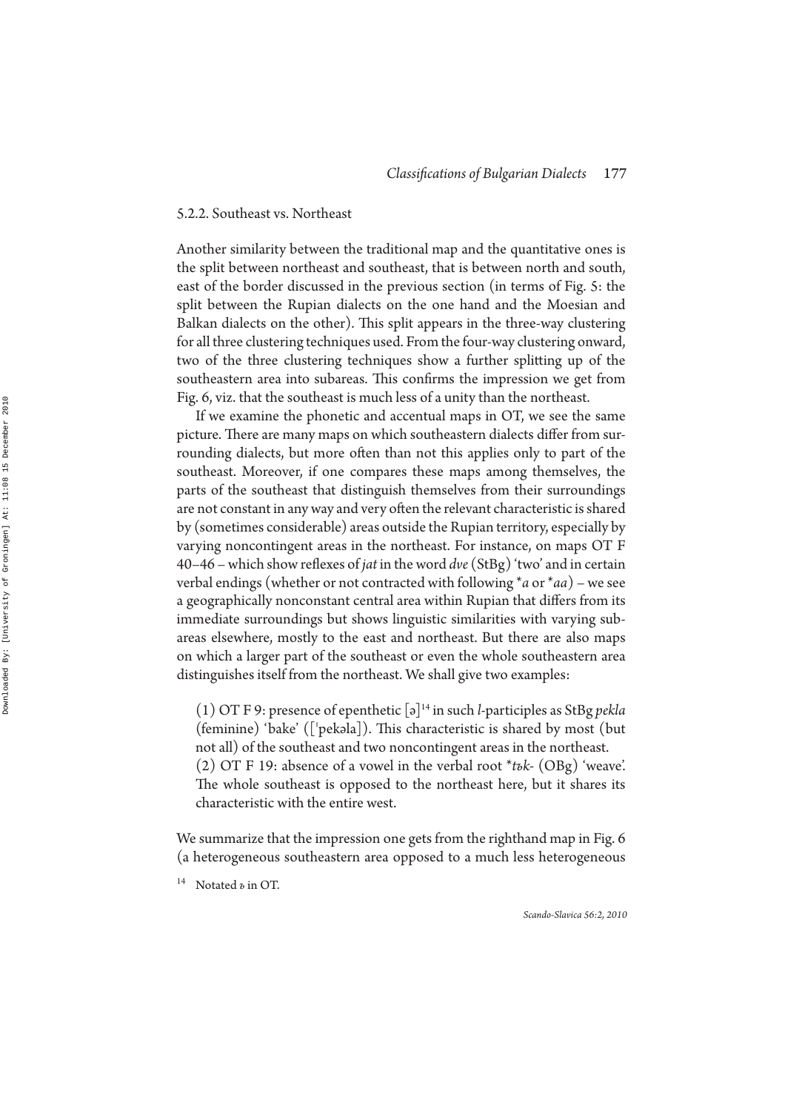#### 5.2.2. Southeast vs. Northeast

Another similarity between the traditional map and the quantitative ones is the split between northeast and southeast, that is between north and south, east of the border discussed in the previous section (in terms of Fig. 5: the split between the Rupian dialects on the one hand and the Moesian and Balkan dialects on the other). This split appears in the three-way clustering for all three clustering techniques used. From the four-way clustering onward, two of the three clustering techniques show a further splitting up of the southeastern area into subareas. This confirms the impression we get from Fig. 6, viz. that the southeast is much less of a unity than the northeast.

If we examine the phonetic and accentual maps in OT, we see the same picture. There are many maps on which southeastern dialects differ from surrounding dialects, but more often than not this applies only to part of the southeast. Moreover, if one compares these maps among themselves, the parts of the southeast that distinguish themselves from their surroundings are not constant in any way and very often the relevant characteristic is shared by (sometimes considerable) areas outside the Rupian territory, especially by varying noncontingent areas in the northeast. For instance, on maps OT F 40–46 – which show reflexes of *jat* in the word *dve* (StBg) 'two' and in certain verbal endings (whether or not contracted with following \* *a* or \**aa*) – we see a geographically nonconstant central area within Rupian that differs from its immediate surroundings but shows linguistic similarities with varying subareas elsewhere, mostly to the east and northeast. But there are also maps on which a larger part of the southeast or even the whole southeastern area distinguishes itself from the northeast. We shall give two examples:

(1) OT F 9: presence of epenthetic [ə]<sup>14</sup> in such *l*-participles as StBg *pekla* (feminine) 'bake' ( $\lceil$ 'pekəla $\rceil$ ). This characteristic is shared by most (but not all) of the southeast and two noncontingent areas in the northeast. (2) OT F 19: absence of a vowel in the verbal root \**tъk-* (OBg) 'weave'. The whole southeast is opposed to the northeast here, but it shares its

We summarize that the impression one gets from the righthand map in Fig. 6 (a heterogeneous southeastern area opposed to a much less heterogeneous

<sup>14</sup> Notated *ъ* in ОТ.

characteristic with the entire west.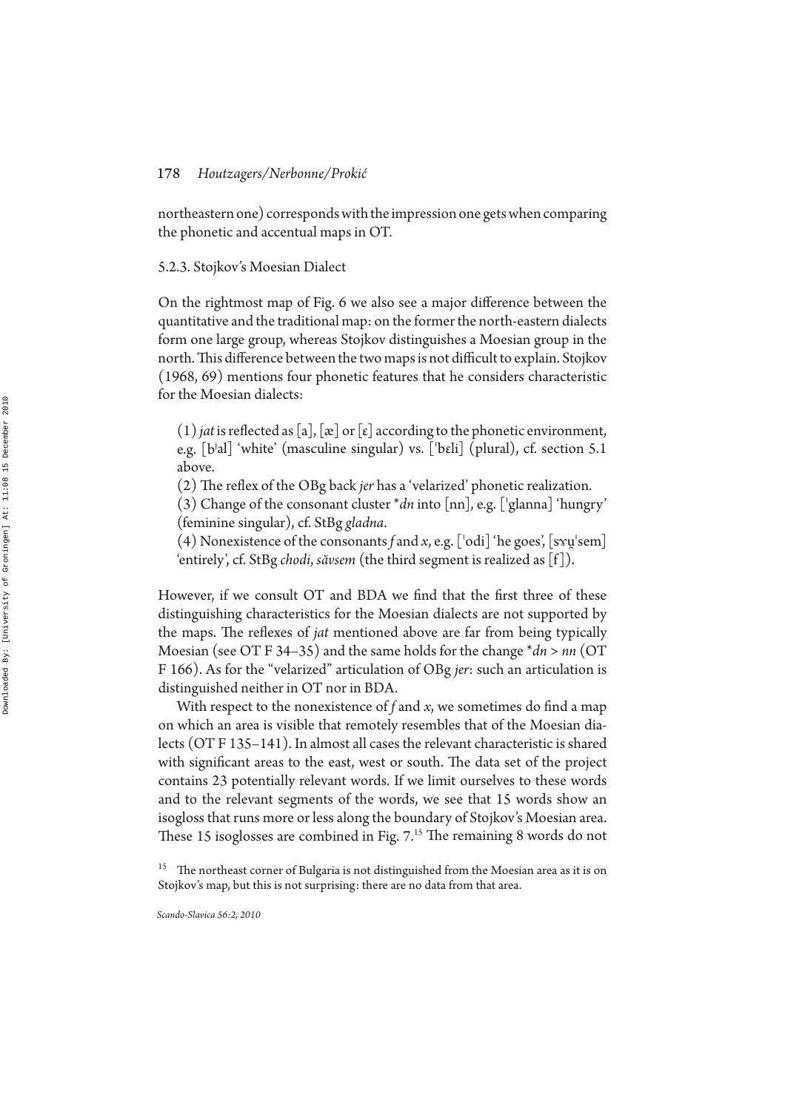northeastern one) corresponds with the impression one gets when comparing the phonetic and accentual maps in OT.

#### 5.2.3. Stojkov's Moesian Dialect

On the rightmost map of Fig. 6 we also see a major difference between the quantitative and the traditional map: on the former the north-eastern dialects form one large group, whereas Stojkov distinguishes a Moesian group in the north. This difference between the two maps is not difficult to explain. Stojkov (1968, 69) mentions four phonetic features that he considers characteristic for the Moesian dialects:

 $(1)$  *jat* is reflected as [a], [æ] or [ε] according to the phonetic environment, e.g. [bʲal] 'white' (masculine singular) vs. [ˈbɛli] (plural), cf. section 5.1 above.

(2) The reflex of the OBg back *jer* has a 'velarized' phonetic realization.

 $(3)$  Change of the consonant cluster  $*dn$  into [nn], e.g. ['glanna] 'hungry' (feminine singular), cf. StBg *gladna*.

(4) Nonexistence of the consonants f and x, e.g. ['odi] 'he goes', [s $x\mu$ 'sem] 'entirely', cf. StBg *chodi*, *săvsem* (the third segment is realized as [f]).

However, if we consult OT and BDA we find that the first three of these distinguishing characteristics for the Moesian dialects are not supported by the maps. The reflexes of *jat* mentioned above are far from being typically Moesian (see OT F 34–35) and the same holds for the change \**dn* > *nn* (OT F 166). As for the "velarized" articulation of OBg *jer* : such an articulation is distinguished neither in OT nor in BDA.

With respect to the nonexistence of  $f$  and  $x$ , we sometimes do find a map on which an area is visible that remotely resembles that of the Moesian dialects (OT F 135–141). In almost all cases the relevant characteristic is shared with significant areas to the east, west or south. The data set of the project contains 23 potentially relevant words. If we limit ourselves to these words and to the relevant segments of the words, we see that 15 words show an isogloss that runs more or less along the boundary of Stojkov's Moesian area. These 15 isoglosses are combined in Fig. 7.<sup>15</sup> The remaining 8 words do not

 $^{15}$  The northeast corner of Bulgaria is not distinguished from the Moesian area as it is on Stojkov's map, but this is not surprising: there are no data from that area.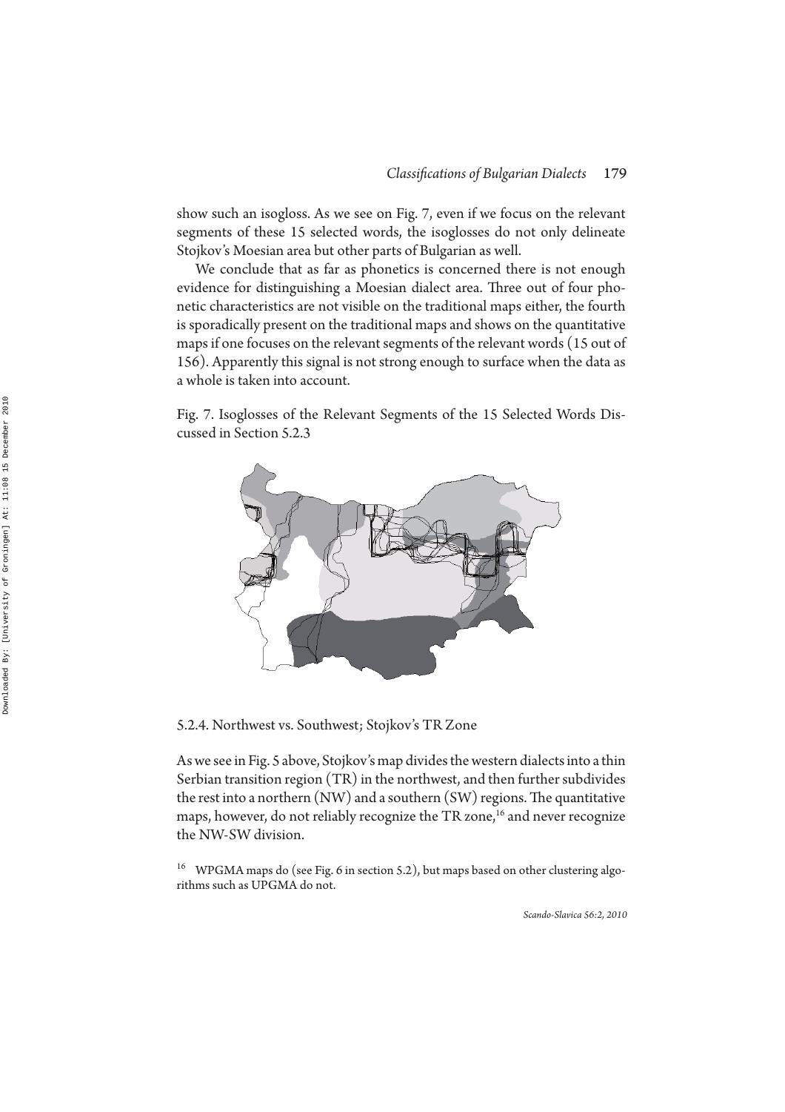show such an isogloss. As we see on Fig. 7, even if we focus on the relevant segments of these 15 selected words, the isoglosses do not only delineate Stojkov's Moesian area but other parts of Bulgarian as well.

We conclude that as far as phonetics is concerned there is not enough evidence for distinguishing a Moesian dialect area. Three out of four phonetic characteristics are not visible on the traditional maps either, the fourth is sporadically present on the traditional maps and shows on the quantitative maps if one focuses on the relevant segments of the relevant words (15 out of 156). Apparently this signal is not strong enough to surface when the data as a whole is taken into account.

Fig. 7. Isoglosses of the Relevant Segments of the 15 Selected Words Discussed in Section 5.2.3



5.2.4. Northwest vs. Southwest; Stojkov's TR Zone

As we see in Fig. 5 above, Stojkov's map divides the western dialects into a thin Serbian transition region (TR) in the northwest, and then further subdivides the rest into a northern  $(NW)$  and a southern  $(SW)$  regions. The quantitative maps, however, do not reliably recognize the TR zone,<sup>16</sup> and never recognize the NW-SW division.

<sup>16</sup> WPGMA maps do (see Fig. 6 in section 5.2), but maps based on other clustering algorithms such as UPGMA do not.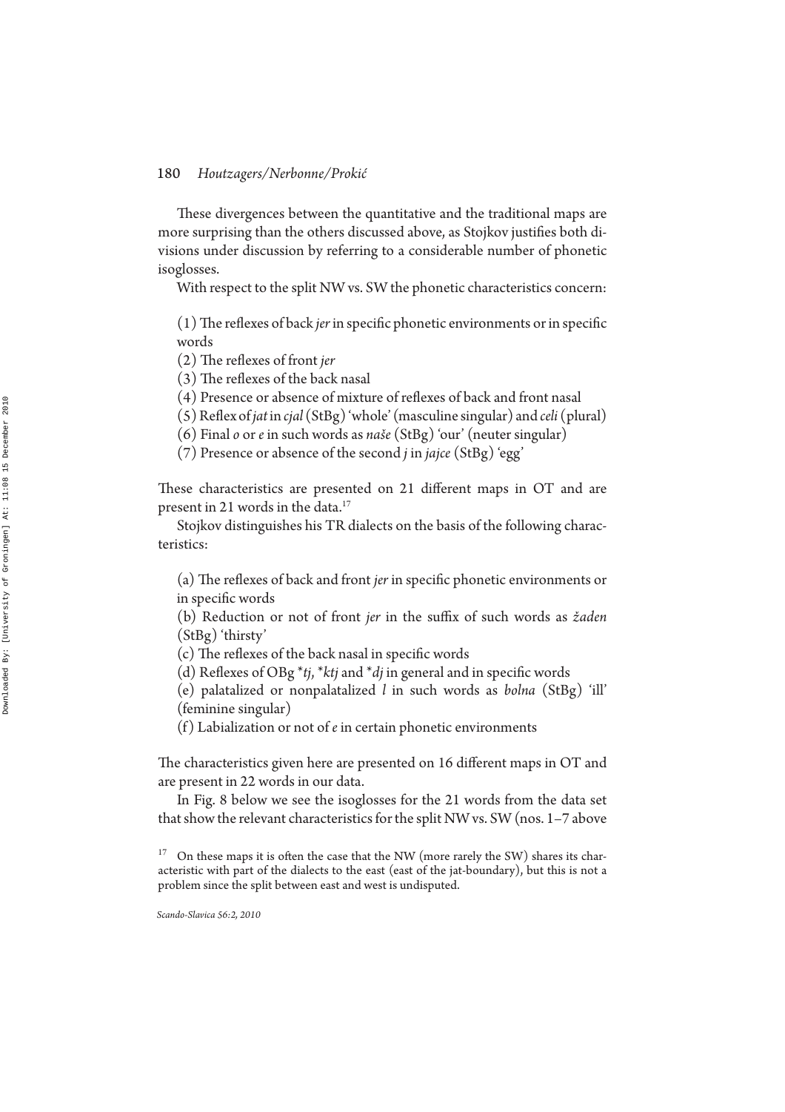These divergences between the quantitative and the traditional maps are more surprising than the others discussed above, as Stojkov justifies both divisions under discussion by referring to a considerable number of phonetic isoglosses.

With respect to the split NW vs. SW the phonetic characteristics concern:

(1) The reflexes of back *jer* in specific phonetic environments or in specific words

(2) The reflexes of front *jer* 

 $(3)$  The reflexes of the back nasal

(4) Presence or absence of mixture of reflexes of back and front nasal

(5) Reex of *jat* in *cjal* (StBg) 'whole' (masculine singular) and *celi* (plural)

(6) Final *o* or *e* in such words as *naše* (StBg) 'our' (neuter singular)

(7) Presence or absence of the second *j* in *jajce* (StBg) 'egg'

These characteristics are presented on 21 different maps in OT and are present in 21 words in the data.<sup>17</sup>

Stojkov distinguishes his TR dialects on the basis of the following characteristics:

(a) The reflexes of back and front *jer* in specific phonetic environments or in specific words

(b) Reduction or not of front *jer* in the suffix of such words as *žaden* (StBg) 'thirsty'

 $(c)$  The reflexes of the back nasal in specific words

(d) Reflexes of OBg  $*$ *tj*,  $*$ *ktj* and  $*$ *dj* in general and in specific words

(e) palatalized or nonpalatalized *l* in such words as *bolna* (StBg) 'ill' (feminine singular)

(f) Labialization or not of *e* in certain phonetic environments

The characteristics given here are presented on 16 different maps in OT and are present in 22 words in our data.

In Fig. 8 below we see the isoglosses for the 21 words from the data set that show the relevant characteristics for the split NW vs. SW (nos. 1–7 above

 $17$  On these maps it is often the case that the NW (more rarely the SW) shares its characteristic with part of the dialects to the east (east of the jat-boundary), but this is not a problem since the split between east and west is undisputed.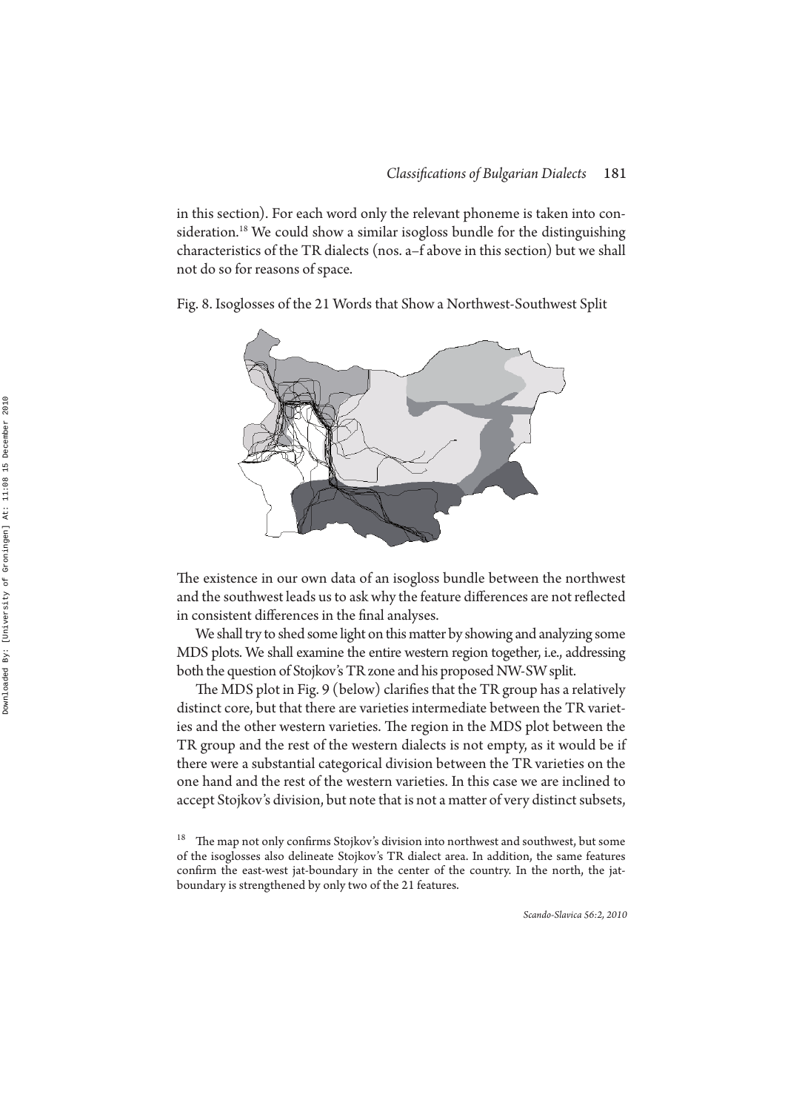in this section). For each word only the relevant phoneme is taken into consideration.<sup>18</sup> We could show a similar isogloss bundle for the distinguishing characteristics of the TR dialects (nos. a–f above in this section) but we shall not do so for reasons of space.

Fig. 8. Isoglosses of the 21 Words that Show a Northwest-Southwest Split



The existence in our own data of an isogloss bundle between the northwest and the southwest leads us to ask why the feature differences are not reflected in consistent differences in the final analyses.

We shall try to shed some light on this matter by showing and analyzing some MDS plots. We shall examine the entire western region together, i.e., addressing both the question of Stojkov's TR zone and his proposed NW-SW split.

The MDS plot in Fig. 9 (below) clarifies that the TR group has a relatively distinct core, but that there are varieties intermediate between the TR varieties and the other western varieties. The region in the MDS plot between the TR group and the rest of the western dialects is not empty, as it would be if there were a substantial categorical division between the TR varieties on the one hand and the rest of the western varieties. In this case we are inclined to accept Stojkov's division, but note that is not a matter of very distinct subsets,

 $18$  The map not only confirms Stojkov's division into northwest and southwest, but some of the isoglosses also delineate Stojkov's TR dialect area. In addition, the same features confirm the east-west jat-boundary in the center of the country. In the north, the jatboundary is strengthened by only two of the 21 features.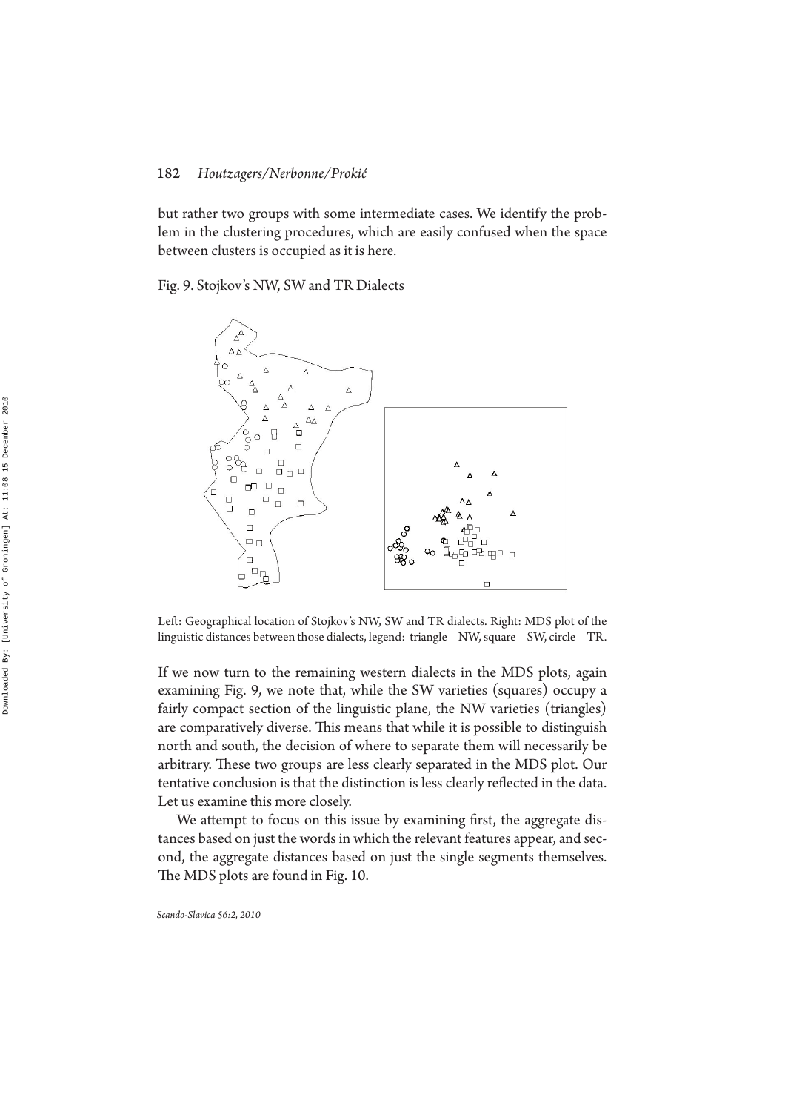but rather two groups with some intermediate cases. We identify the problem in the clustering procedures, which are easily confused when the space between clusters is occupied as it is here.

#### Fig. 9. Stojkov's NW, SW and TR Dialects



Left: Geographical location of Stojkov's NW, SW and TR dialects. Right: MDS plot of the linguistic distances between those dialects, legend: triangle – NW, square – SW, circle – TR.

If we now turn to the remaining western dialects in the MDS plots, again examining Fig. 9, we note that, while the SW varieties (squares) occupy a fairly compact section of the linguistic plane, the NW varieties (triangles) are comparatively diverse. This means that while it is possible to distinguish north and south, the decision of where to separate them will necessarily be arbitrary. These two groups are less clearly separated in the MDS plot. Our tentative conclusion is that the distinction is less clearly reflected in the data. Let us examine this more closely.

We attempt to focus on this issue by examining first, the aggregate distances based on just the words in which the relevant features appear, and second, the aggregate distances based on just the single segments themselves. The MDS plots are found in Fig. 10.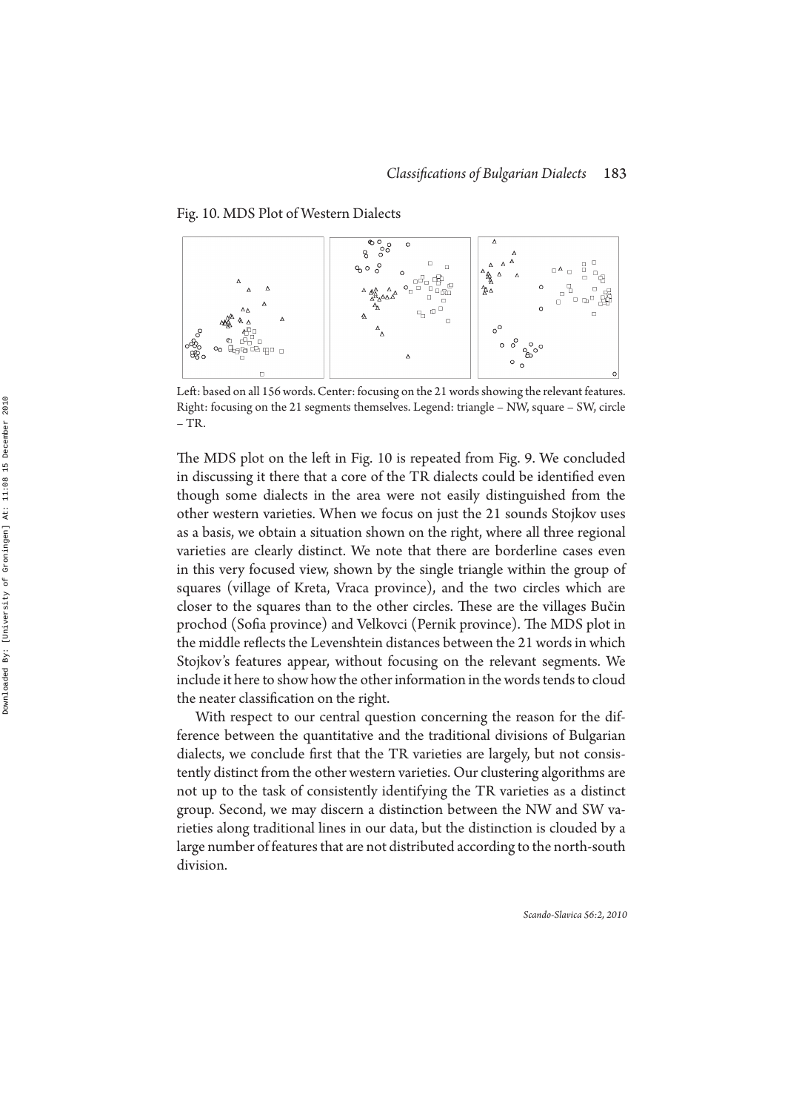Fig. 10. MDS Plot of Western Dialects



Left: based on all 156 words. Center: focusing on the 21 words showing the relevant features. Right: focusing on the 21 segments themselves. Legend: triangle – NW, square – SW, circle  $-TR$ .

The MDS plot on the left in Fig. 10 is repeated from Fig. 9. We concluded in discussing it there that a core of the TR dialects could be identified even though some dialects in the area were not easily distinguished from the other western varieties. When we focus on just the 21 sounds Stojkov uses as a basis, we obtain a situation shown on the right, where all three regional varieties are clearly distinct. We note that there are borderline cases even in this very focused view, shown by the single triangle within the group of squares (village of Kreta, Vraca province), and the two circles which are closer to the squares than to the other circles. These are the villages Bučin prochod (Sofia province) and Velkovci (Pernik province). The MDS plot in the middle reflects the Levenshtein distances between the 21 words in which Stojkov's features appear, without focusing on the relevant segments. We include it here to show how the other information in the words tends to cloud the neater classification on the right.

With respect to our central question concerning the reason for the difference between the quantitative and the traditional divisions of Bulgarian dialects, we conclude first that the TR varieties are largely, but not consistently distinct from the other western varieties. Our clustering algorithms are not up to the task of consistently identifying the TR varieties as a distinct group. Second, we may discern a distinction between the NW and SW varieties along traditional lines in our data, but the distinction is clouded by a large number of features that are not distributed according to the north-south division.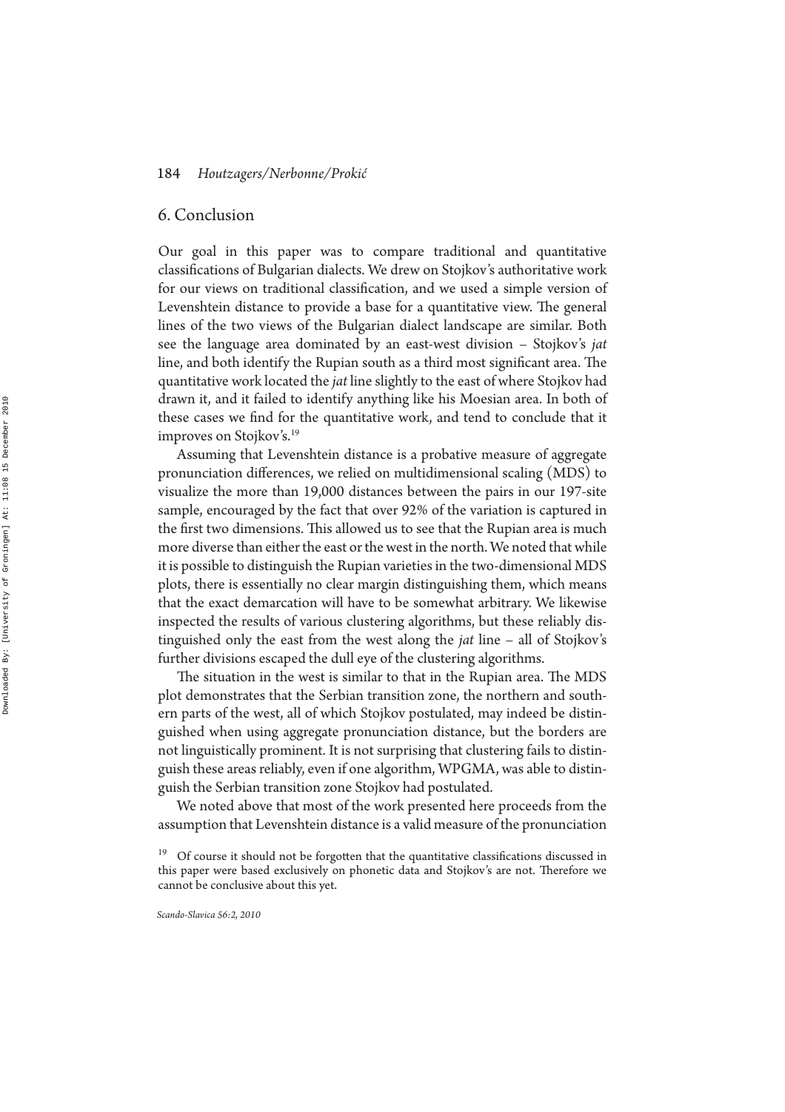## 6. Conclusion

Our goal in this paper was to compare traditional and quantitative classifications of Bulgarian dialects. We drew on Stojkov's authoritative work for our views on traditional classification, and we used a simple version of Leven shtein distance to provide a base for a quantitative view. The general lines of the two views of the Bulgarian dialect landscape are similar. Both see the language area dominated by an east-west division – Stojkov's *jat* line, and both identify the Rupian south as a third most significant area. The quantitative work located the *jat* line slightly to the east of where Stojkov had drawn it, and it failed to identify anything like his Moesian area. In both of these cases we find for the quantitative work, and tend to conclude that it improves on Stojkov's.<sup>19</sup>

Assuming that Levenshtein distance is a probative measure of aggregate pronunciation differences, we relied on multidimensional scaling (MDS) to visualize the more than 19,000 distances between the pairs in our 197-site sample, encouraged by the fact that over 92% of the variation is captured in the first two dimensions. This allowed us to see that the Rupian area is much more diverse than either the east or the west in the north. We noted that while it is possible to distinguish the Rupian varieties in the two-dimensional MDS plots, there is essentially no clear margin distinguishing them, which means that the exact demarcation will have to be somewhat arbitrary. We likewise inspected the results of various clustering algorithms, but these reliably distinguished only the east from the west along the *jat* line – all of Stojkov's further divisions escaped the dull eye of the clustering algorithms.

The situation in the west is similar to that in the Rupian area. The MDS plot demonstrates that the Serbian transition zone, the northern and southern parts of the west, all of which Stojkov postulated, may indeed be distinguished when using aggregate pronunciation distance, but the borders are not linguistically prominent. It is not surprising that clustering fails to distinguish these areas reliably, even if one algorithm, WPGMA, was able to distinguish the Serbian transition zone Stojkov had postulated.

We noted above that most of the work presented here proceeds from the assumption that Levenshtein distance is a valid measure of the pronunciation

 $19$  Of course it should not be forgotten that the quantitative classifications discussed in this paper were based exclusively on phonetic data and Stojkov's are not. Therefore we cannot be conclusive about this yet.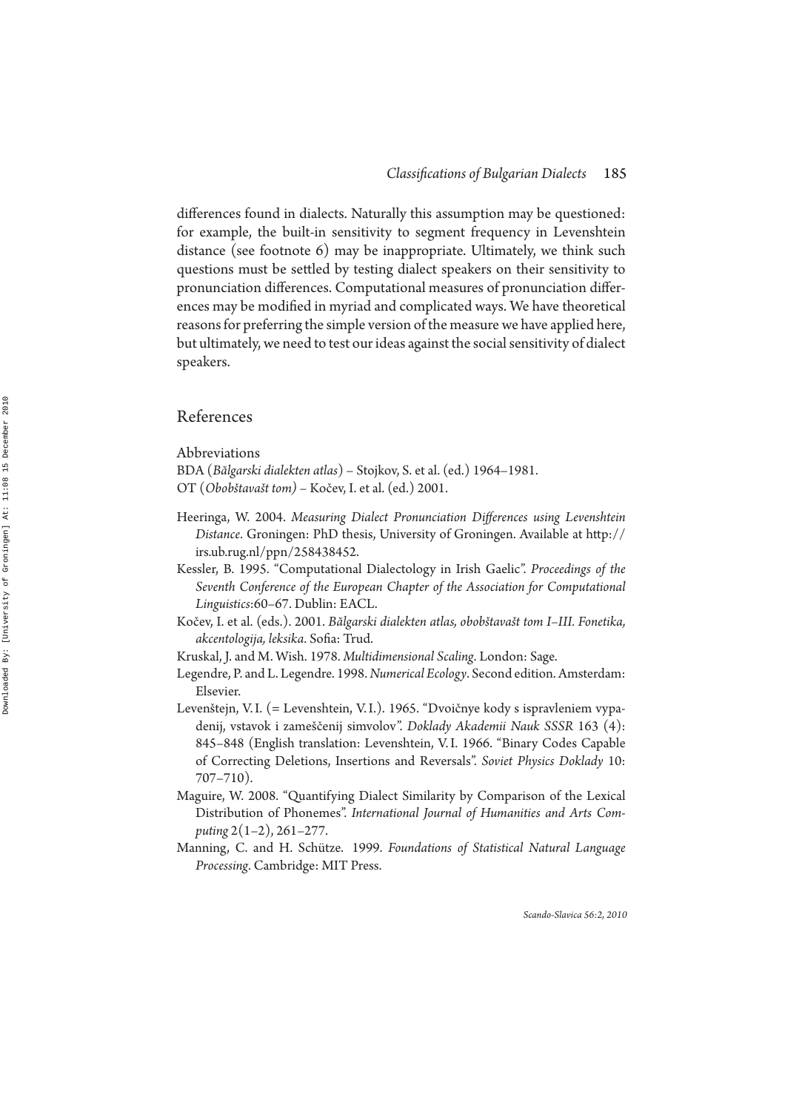differences found in dialects. Naturally this assumption may be questioned: for example, the built-in sensitivity to segment frequency in Levenshtein distance (see footnote 6) may be inappropriate. Ultimately, we think such questions must be settled by testing dialect speakers on their sensitivity to pronunciation differences. Computational measures of pronunciation differences may be modified in myriad and complicated ways. We have theoretical reasons for preferring the simple version of the measure we have applied here, but ultimately, we need to test our ideas against the social sensitivity of dialect speakers.

## References

Abbreviations

BDA (*Bălgarski dialekten atlas*) – Stojkov, S. et al. (ed.) 1964–1981. OT (*Obobštavašt tom)* – Kočev, I. et al. (ed.) 2001.

- Heeringa, W. 2004. *Measuring Dialect Pronunciation Differences using Levenshtein Distance*. Groningen: PhD thesis, University of Groningen. Available at http:// irs.ub.rug.nl/ppn/258438452.
- Kessler, B. 1995. "Computational Dialectology in Irish Gaelic". *Proceedings of the Seventh Conference of the European Chapter of the Association for Computational Linguistics*:60–67. Dublin: EACL.
- Kočev, I. et al. (eds.). 2001. Bălgarski dialekten atlas, obobštavašt tom I-III. Fonetika, *akcentologija, leksika*. Soa: Trud.
- Kruskal, J. and M. Wish. 1978. *Multidimensional Scaling*. London: Sage.
- Legendre, P. and L. Legendre. 1998. *Numerical Ecology*. Second edition. Amsterdam: Elsevier.
- Levenštejn, V.I. (= Levenshtein, V.I.). 1965. "Dvoičnye kody s ispravleniem vypadenij, vstavok i zameščenij simvolov". *Doklady Akademii Nauk SSSR* 163 (4): 845–848 (English translation: Levenshtein, V. I. 1966. "Binary Codes Capable of Correcting Deletions, Insertions and Reversals". *Soviet Physics Doklady* 10: 707–710).
- Maguire, W. 2008. "Quantifying Dialect Similarity by Comparison of the Lexical Distribution of Phonemes". *International Journal of Humanities and Arts Computing* 2(1–2), 261–277.
- Manning, C. and H. Schütze. 1999. *Foundations of Statistical Natural Language Processing*. Cambridge: MIT Press.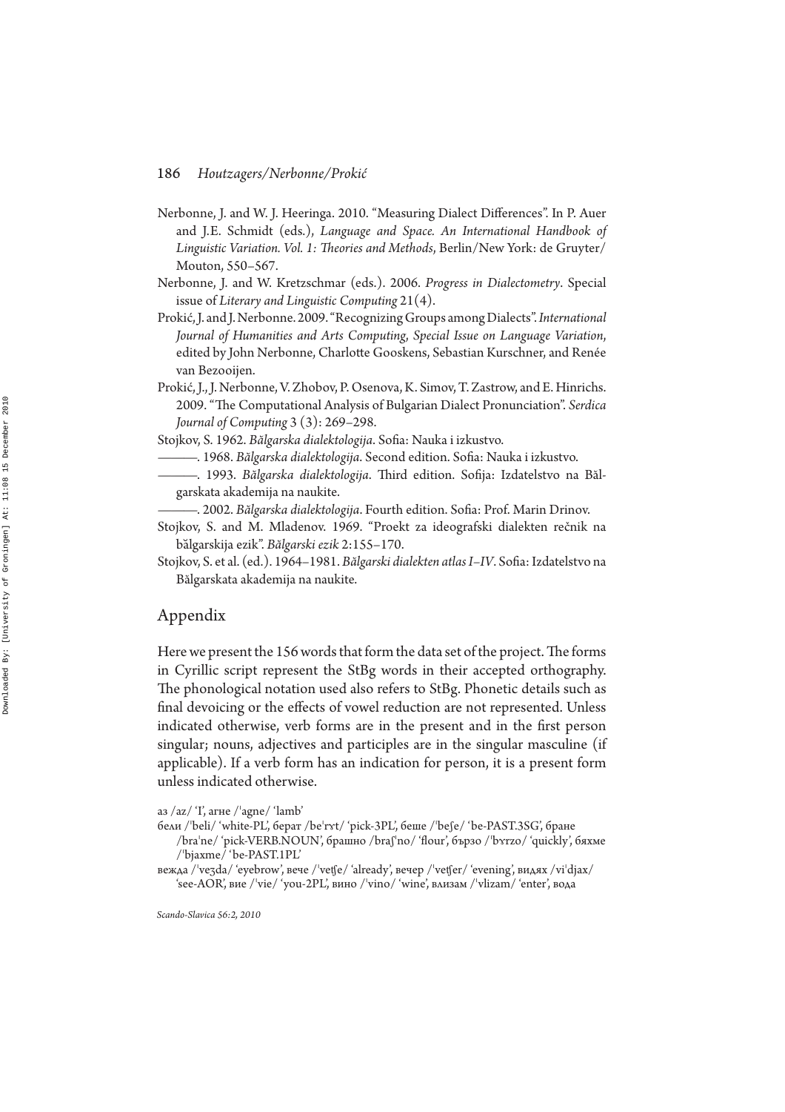- Nerbonne, J. and W. J. Heeringa. 2010. "Measuring Dialect Differences". In P. Auer and J.E. Schmidt (eds.), *Language and Space. An International Handbook of* Linguistic Variation. Vol. 1: Theories and Methods, Berlin/New York: de Gruyter/ Mouton, 550–567.
- Nerbonne, J. and W. Kretzschmar (eds.). 2006. *Progress in Dialectometry*. Special issue of *Literary and Linguistic Computing* 21(4).
- Prokić, J. and J. Nerbonne. 2009. "Recognizing Groups among Dialects". *International Journal of Humanities and Arts Computing*, *Special Issue on Language Variation*, edited by John Nerbonne, Charlotte Gooskens, Sebastian Kurschner, and Renée van Bezooijen.
- Prokić, J., J. Nerbonne, V. Zhobov, P. Osenova, K. Simov, T. Zastrow, and E. Hinrichs. 2009. "The Computational Analysis of Bulgarian Dialect Pronunciation". Serdica *Journal of Computing* 3 (3): 269–298.

Stojkov, S. 1962. Bălgarska dialektologija. Sofia: Nauka i izkustvo.

- ——— . 1968. *Bălgarska dialektologija*. Second edition. Soa: Nauka i izkustvo.
- -. 1993. Bălgarska dialektologija. Third edition. Sofija: Izdatelstvo na Bălgarskata akademija na naukite.
- ——— . 2002. *Bălgarska dialektologija*. Fourth edition. Soa: Prof. Marin Drinov.
- Stojkov, S. and M. Mladenov. 1969. "Proekt za ideografski dialekten rečnik na ba܁lgarskija ezik". *Bălgarski ezik* 2:155–170.
- Stojkov, S. et al. (ed.). 1964-1981. Bălgarski dialekten atlas I-IV. Sofia: Izdatelstvo na Bălgarskata akademija na naukite.

## Appendix

Here we present the 156 words that form the data set of the project. The forms in Cyrillic script represent the StBg words in their accepted orthography. The phonological notation used also refers to StBg. Phonetic details such as final devoicing or the effects of vowel reduction are not represented. Unless indicated otherwise, verb forms are in the present and in the first person singular; nouns, adjectives and participles are in the singular masculine (if applicable). If a verb form has an indication for person, it is a present form unless indicated otherwise.

аз /аz/ 'I', агне /'agne/ 'lamb'

- бели /ˈbeli/ 'white-PL', берат /beˈrʏt/ 'pick-3PL', беше /ˈbeʃe/ 'be-PAST.3SG', бране
- /braˈne/ 'pick-VERB.NOUN', брашно /braʃˈno/ 'flour', бързо /ˈbʏrzo/ 'quickly', бяхме /'bjaxme/ 'be-PAST.1PL'
- вежда /ˈveʒda/ 'eyebrow', вече /ˈvetʃe/ 'already', вечер /ˈvetʃer/ 'evening', видях /viˈdjax/ 'see-AOR', вие /'vie/ 'you-2PL', вино /'vino/ 'wine', влизам /'vlizam/ 'enter', вода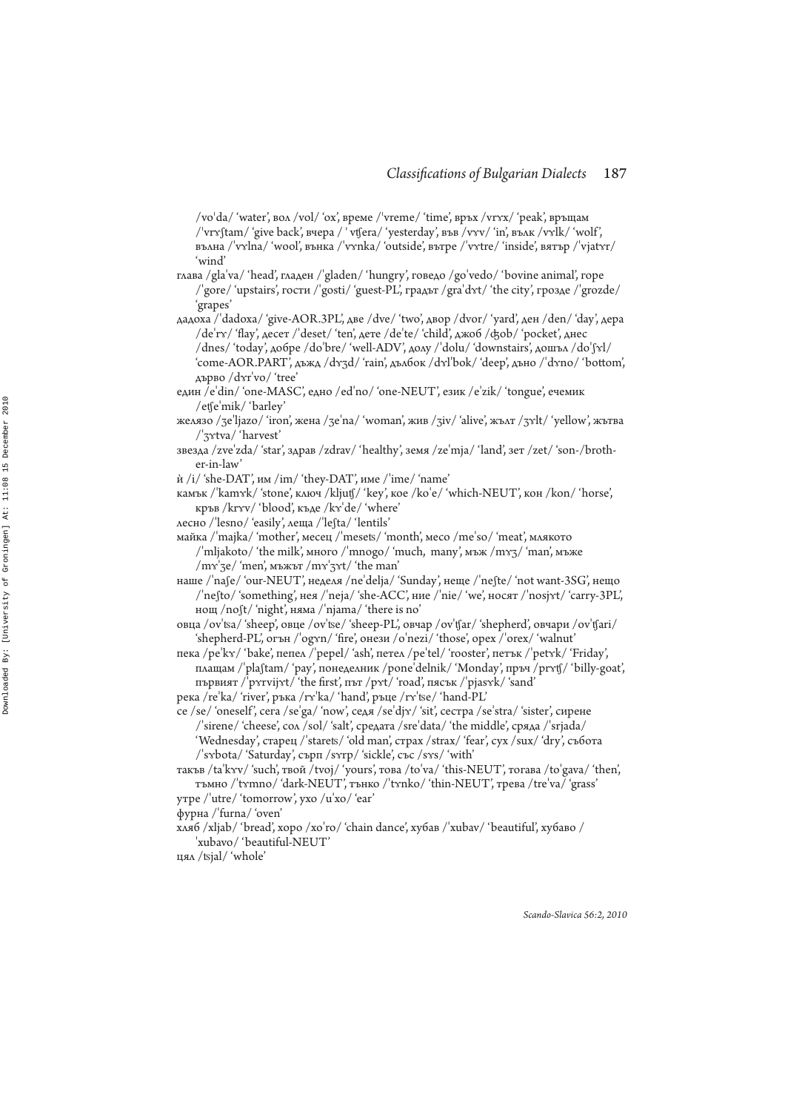/voˈda/ 'water', вол /vol/ 'ox', време /ˈvreme/ 'time', връх /vrʏx/ 'peak', връщам / $\forall$ vr $\gamma$ ftam/ 'give back', вчера / 'vt $\beta$ era/ 'yesterday', във /v $\gamma$ v/ 'in', вълк /v $\gamma$ lk/ 'wolf', вълна /ˈvʏlna/ 'wool', вънка /ˈvʏnka/ 'outside', вътре /ˈvɤtre/ 'inside', вятър /ˈvjatʏr/ 'wind'<br>
глава /gla'va/ 'head', гладен /'gladen/ 'hungry', говедо /go'vedo/ 'bovine animal', горе

- /'gore/ 'upstairs', гости /'gosti/ 'guest-PL', градът /gra'dvt/ 'the city', грозде /'grozde/ 'grapes'
- дадоха /ˈdadoxa/ 'give-AOR.3PL', две /dve/ 'two', двор /dvor/ 'yard', ден /den/ 'day', дера /deˈrɤ/ 'flay', десет /ˈdeset/ 'ten', дете /deˈte/ 'child', джоб /ʤob/ 'pocket', днес /dnes/ 'today', добре /do'bre/ 'well-ADV', долу /'dolu/ 'downstairs', дошъл /do'ʃxl/ 'come-AOR.PART', дъжд /dɤʒd/ 'rain', дълбок /dɤl'bok/ 'deep', дъно /ˈdɤno/ 'bottom', дърво /dʏrˈvo/ 'tree'
- един /e'din/ 'one-MASC', едно /ed'no/ 'one-NEUT', език /e'zik/ 'tongue', ечемик /etfeˈmik/ 'barley'
- желязо /ʒeˈljazo/ 'iron', жена /ʒeˈna/ 'woman', жив /ʒiv/ 'alive', жълт /ʒʏlt/ 'yellow', жътва /ʃֽٕtva/ 'harvest'
- звезда /zveˈzda/ 'star', здрав /zdrav/ 'healthy', земя /zeˈmja/ 'land', зет /zet/ 'son-/brother-in-law'
- $\dot{M}$  /i/ 'she-DAT', им /im/ 'they-DAT', име /'ime/ 'name'
- камък /ˈkamʏk/ 'stone', ключ /kljutʃ/ 'key', кое /koˈe/ 'which-NEUT', кон /kon/ 'horse', кръв /krʏv/ 'blood', къде /kɤˈde/ 'where'
- лесно /ˈlesno/ 'easily', леща /ˈleʃta/ 'lentils'
- майка /ˈmajka/ 'mother', месец /ˈmesets/ 'month', месо /meˈso/ 'meat', млякото /'mljakoto/ 'the milk', много /'mnogo/ 'much, many', мъж /m $\gamma$ ' (man', мъже /mvˈʒe/ 'men', мъжът /mvˈʒʏt/ 'the man'
- наше /ˈnaʃe/ 'our-NEUT', неделя /neˈdelja/ 'Sunday', неще /ˈneʃte/ 'not want-3SG', нещо /ˈneʃto/ 'something', нея /ˈneja/ 'she-ACC', ние /ˈnie/ 'we', носят /ˈnosjxt/ 'carry-3PL', нощ /noʃt/ 'night', няма /ˈnjama/ 'there is no'
- овца /ovˈtsa/ 'sheep', овце /ovˈtse/ 'sheep-PL', овчар /ovˈtʃar/ 'shepherd', овчари /ovˈtʃari/ ʻshepherd-PL', огън /ˈogʏn/ 'fire', онези /oˈnezi/ 'those', opex /ˈorex/ 'walnut'
- пека /peˈkɤ/ 'bake', пепел /ˈpepel/ 'ash', петел /peˈtel/ 'rooster', петък /ˈpetɤk/ 'Friday', плащам /ˈplaʃtam/ 'рау', понеделник /poneˈdelnik/ 'Monday', пръч /prvtʃ/ 'billy-goat', първият /ˈpʏrvijʏt/ 'the first', път /pʏt/ 'road', пясък /ˈpjasʏk/ 'sand'
- река /reˈka/ 'river', ръка /rʏˈka/ 'hand', ръце /rʏˈtse/ 'hand-PL'
- се /se/ 'oneself', сега /seˈga/ 'now', седя /seˈdjɤ/ 'sit', сестра /seˈstra/ 'sister', сирене /'sirene/ 'cheese', сол /sol/ 'salt', средата /sre'data/ 'the middle', сряда /'srjada/ ʻWednesday', старец /ˈstarets/ 'old man', страх /strax/ 'fear', сух /sux/ 'dry', събота /'sybota/ 'Saturday', сърп /syrp/ 'sickle', със /sys/ 'with'
- такъв /taˈkxv/ 'such', твой /tvoj/ 'yours', това /toˈva/ 'this-NEUT', тогава /toˈgava/ 'then', тъмно /ˈtʏmno/ 'dark-NEUT', тънко /ˈtʏnko/ 'thin-NEUT', трева /treˈva/ 'grass'
- утре /ˈutre/ 'tomorrow', ухо /uˈxo/ 'ear'
- фурна / 'furna/ 'oven'
- хляб /xljab/ 'bread', хоро /xo'ro/ 'chain dance', хубав /'xubav/ 'beautiful', хубаво / 'xubavo/ 'beautiful-NEUT'

цял / Ձjal/ 'whole'